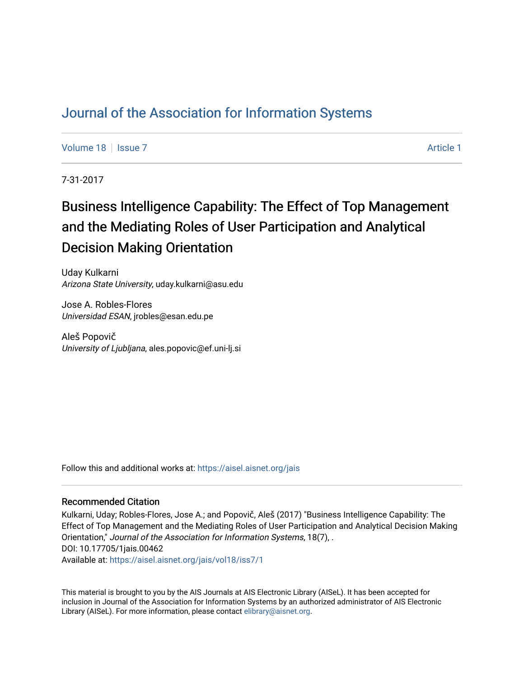# [Journal of the Association for Information Systems](https://aisel.aisnet.org/jais)

[Volume 18](https://aisel.aisnet.org/jais/vol18) | [Issue 7](https://aisel.aisnet.org/jais/vol18/iss7) [Article 1](https://aisel.aisnet.org/jais/vol18/iss7/1) | Article 1 | Article 1 | Article 1 | Article 1 | Article 1 | Article 1 | Article 1 | Article 1 | Article 1 | Article 1 | Article 1 | Article 1 | Article 1 | Article 1 | Article 1 | Article 1

7-31-2017

# Business Intelligence Capability: The Effect of Top Management and the Mediating Roles of User Participation and Analytical Decision Making Orientation

Uday Kulkarni Arizona State University, uday.kulkarni@asu.edu

Jose A. Robles-Flores Universidad ESAN, jrobles@esan.edu.pe

Aleš Popovič University of Ljubljana, ales.popovic@ef.uni-lj.si

Follow this and additional works at: [https://aisel.aisnet.org/jais](https://aisel.aisnet.org/jais?utm_source=aisel.aisnet.org%2Fjais%2Fvol18%2Fiss7%2F1&utm_medium=PDF&utm_campaign=PDFCoverPages) 

#### Recommended Citation

Kulkarni, Uday; Robles-Flores, Jose A.; and Popovič, Aleš (2017) "Business Intelligence Capability: The Effect of Top Management and the Mediating Roles of User Participation and Analytical Decision Making Orientation," Journal of the Association for Information Systems, 18(7), . DOI: 10.17705/1jais.00462

Available at: [https://aisel.aisnet.org/jais/vol18/iss7/1](https://aisel.aisnet.org/jais/vol18/iss7/1?utm_source=aisel.aisnet.org%2Fjais%2Fvol18%2Fiss7%2F1&utm_medium=PDF&utm_campaign=PDFCoverPages)

This material is brought to you by the AIS Journals at AIS Electronic Library (AISeL). It has been accepted for inclusion in Journal of the Association for Information Systems by an authorized administrator of AIS Electronic Library (AISeL). For more information, please contact [elibrary@aisnet.org.](mailto:elibrary@aisnet.org%3E)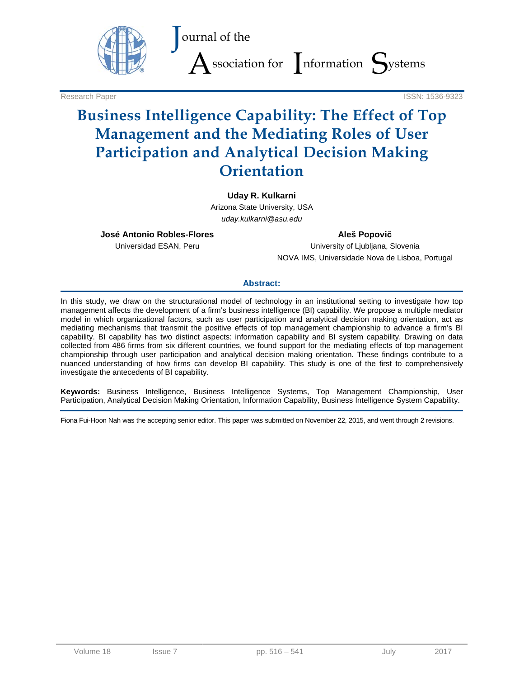

Research Paper ISSN: 1536-9323

# **Business Intelligence Capability: The Effect of Top Management and the Mediating Roles of User Participation and Analytical Decision Making Orientation**

#### **Uday R. Kulkarni**

Arizona State University, USA *uday.kulkarni@asu.edu*

**José Antonio Robles-Flores**

Universidad ESAN, Peru

**Aleš Popovič**

University of Ljubljana, Slovenia NOVA IMS, Universidade Nova de Lisboa, Portugal

#### **Abstract:**

In this study, we draw on the structurational model of technology in an institutional setting to investigate how top management affects the development of a firm's business intelligence (BI) capability. We propose a multiple mediator model in which organizational factors, such as user participation and analytical decision making orientation, act as mediating mechanisms that transmit the positive effects of top management championship to advance a firm's BI capability. BI capability has two distinct aspects: information capability and BI system capability. Drawing on data collected from 486 firms from six different countries, we found support for the mediating effects of top management championship through user participation and analytical decision making orientation. These findings contribute to a nuanced understanding of how firms can develop BI capability. This study is one of the first to comprehensively investigate the antecedents of BI capability.

**Keywords:** Business Intelligence, Business Intelligence Systems, Top Management Championship, User Participation, Analytical Decision Making Orientation, Information Capability, Business Intelligence System Capability.

Fiona Fui-Hoon Nah was the accepting senior editor. This paper was submitted on November 22, 2015, and went through 2 revisions.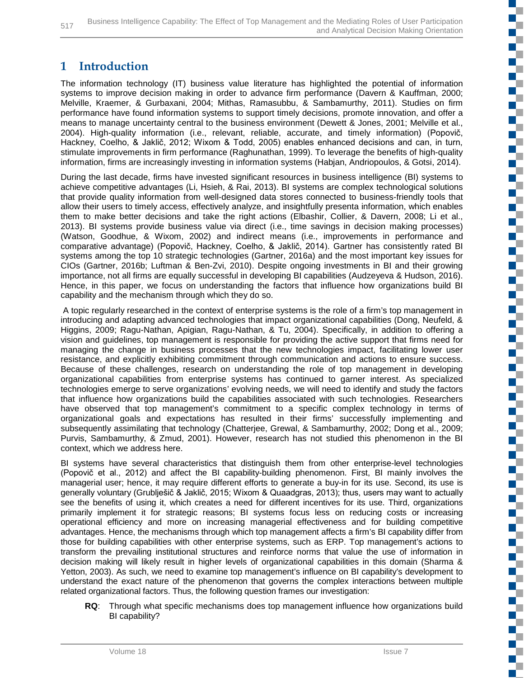## **1 Introduction**

The information technology (IT) business value literature has highlighted the potential of information systems to improve decision making in order to advance firm performance (Davern & Kauffman, 2000; Melville, Kraemer, & Gurbaxani, 2004; Mithas, Ramasubbu, & Sambamurthy, 2011). Studies on firm performance have found information systems to support timely decisions, promote innovation, and offer a means to manage uncertainty central to the business environment (Dewett & Jones, 2001; Melville et al., 2004). High-quality information (i.e., relevant, reliable, accurate, and timely information) (Popovič, Hackney, Coelho, & Jaklič, 2012; Wixom & Todd, 2005) enables enhanced decisions and can, in turn, stimulate improvements in firm performance (Raghunathan, 1999). To leverage the benefits of high-quality information, firms are increasingly investing in information systems (Habjan, Andriopoulos, & Gotsi, 2014).

During the last decade, firms have invested significant resources in business intelligence (BI) systems to achieve competitive advantages (Li, Hsieh, & Rai, 2013). BI systems are complex technological solutions that provide quality information from well-designed data stores connected to business-friendly tools that allow their users to timely access, effectively analyze, and insightfully presenta information, which enables them to make better decisions and take the right actions (Elbashir, Collier, & Davern, 2008; Li et al., 2013). BI systems provide business value via direct (i.e., time savings in decision making processes) (Watson, Goodhue, & Wixom, 2002) and indirect means (i.e., improvements in performance and comparative advantage) (Popovič, Hackney, Coelho, & Jaklič, 2014). Gartner has consistently rated BI systems among the top 10 strategic technologies (Gartner, 2016a) and the most important key issues for CIOs (Gartner, 2016b; Luftman & Ben-Zvi, 2010). Despite ongoing investments in BI and their growing importance, not all firms are equally successful in developing BI capabilities (Audzeyeva & Hudson, 2016). Hence, in this paper, we focus on understanding the factors that influence how organizations build BI capability and the mechanism through which they do so.

A topic regularly researched in the context of enterprise systems is the role of a firm's top management in introducing and adapting advanced technologies that impact organizational capabilities (Dong, Neufeld, & Higgins, 2009; Ragu-Nathan, Apigian, Ragu-Nathan, & Tu, 2004). Specifically, in addition to offering a vision and guidelines, top management is responsible for providing the active support that firms need for managing the change in business processes that the new technologies impact, facilitating lower user resistance, and explicitly exhibiting commitment through communication and actions to ensure success. Because of these challenges, research on understanding the role of top management in developing organizational capabilities from enterprise systems has continued to garner interest. As specialized technologies emerge to serve organizations' evolving needs, we will need to identify and study the factors that influence how organizations build the capabilities associated with such technologies. Researchers have observed that top management's commitment to a specific complex technology in terms of organizational goals and expectations has resulted in their firms' successfully implementing and subsequently assimilating that technology (Chatterjee, Grewal, & Sambamurthy, 2002; Dong et al., 2009; Purvis, Sambamurthy, & Zmud, 2001). However, research has not studied this phenomenon in the BI context, which we address here.

BI systems have several characteristics that distinguish them from other enterprise-level technologies (Popovič et al., 2012) and affect the BI capability-building phenomenon. First, BI mainly involves the managerial user; hence, it may require different efforts to generate a buy-in for its use. Second, its use is generally voluntary (Grublješič & Jaklič, 2015; Wixom & Quaadgras, 2013); thus, users may want to actually see the benefits of using it, which creates a need for different incentives for its use. Third, organizations primarily implement it for strategic reasons; BI systems focus less on reducing costs or increasing operational efficiency and more on increasing managerial effectiveness and for building competitive advantages. Hence, the mechanisms through which top management affects a firm's BI capability differ from those for building capabilities with other enterprise systems, such as ERP. Top management's actions to transform the prevailing institutional structures and reinforce norms that value the use of information in decision making will likely result in higher levels of organizational capabilities in this domain (Sharma & Yetton, 2003). As such, we need to examine top management's influence on BI capability's development to understand the exact nature of the phenomenon that governs the complex interactions between multiple related organizational factors. Thus, the following question frames our investigation:

**RQ**: Through what specific mechanisms does top management influence how organizations build BI capability?

Ű.

E.

C

m.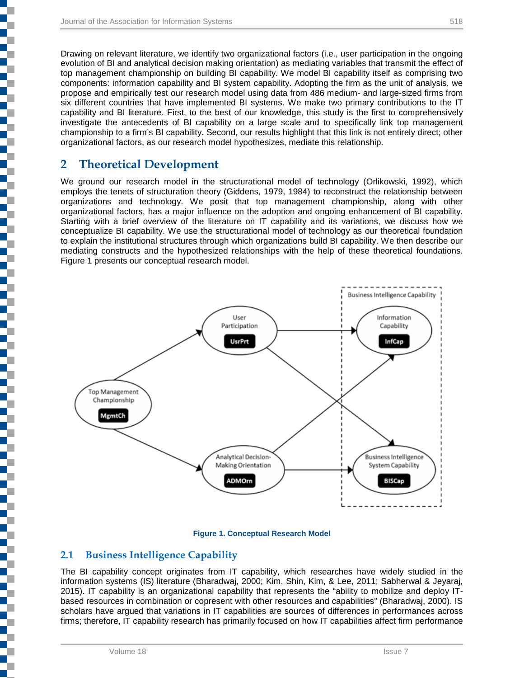Drawing on relevant literature, we identify two organizational factors (i.e., user participation in the ongoing evolution of BI and analytical decision making orientation) as mediating variables that transmit the effect of top management championship on building BI capability. We model BI capability itself as comprising two components: information capability and BI system capability. Adopting the firm as the unit of analysis, we propose and empirically test our research model using data from 486 medium- and large-sized firms from six different countries that have implemented BI systems. We make two primary contributions to the IT capability and BI literature. First, to the best of our knowledge, this study is the first to comprehensively investigate the antecedents of BI capability on a large scale and to specifically link top management championship to a firm's BI capability. Second, our results highlight that this link is not entirely direct; other organizational factors, as our research model hypothesizes, mediate this relationship.

### **2 Theoretical Development**

Į

i<br>I

i<br>I

Ę

We ground our research model in the structurational model of technology (Orlikowski, 1992), which employs the tenets of structuration theory (Giddens, 1979, 1984) to reconstruct the relationship between organizations and technology. We posit that top management championship, along with other organizational factors, has a major influence on the adoption and ongoing enhancement of BI capability. Starting with a brief overview of the literature on IT capability and its variations, we discuss how we conceptualize BI capability. We use the structurational model of technology as our theoretical foundation to explain the institutional structures through which organizations build BI capability. We then describe our mediating constructs and the hypothesized relationships with the help of these theoretical foundations. Figure 1 presents our conceptual research model.



#### **Figure 1. Conceptual Research Model**

#### **2.1 Business Intelligence Capability**

The BI capability concept originates from IT capability, which researches have widely studied in the information systems (IS) literature (Bharadwaj, 2000; Kim, Shin, Kim, & Lee, 2011; Sabherwal & Jeyaraj, 2015). IT capability is an organizational capability that represents the "ability to mobilize and deploy ITbased resources in combination or copresent with other resources and capabilities" (Bharadwaj, 2000). IS scholars have argued that variations in IT capabilities are sources of differences in performances across firms; therefore, IT capability research has primarily focused on how IT capabilities affect firm performance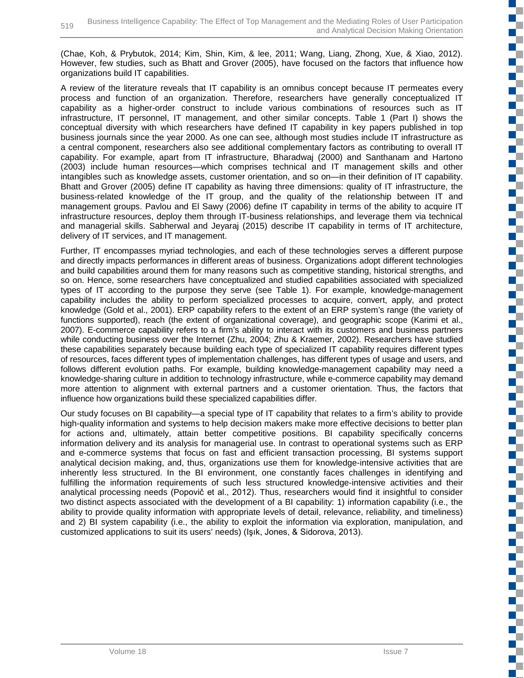(Chae, Koh, & Prybutok, 2014; Kim, Shin, Kim, & lee, 2011; Wang, Liang, Zhong, Xue, & Xiao, 2012). However, few studies, such as Bhatt and Grover (2005), have focused on the factors that influence how organizations build IT capabilities.

A review of the literature reveals that IT capability is an omnibus concept because IT permeates every process and function of an organization. Therefore, researchers have generally conceptualized IT capability as a higher-order construct to include various combinations of resources such as IT infrastructure, IT personnel, IT management, and other similar concepts. Table 1 (Part I) shows the conceptual diversity with which researchers have defined IT capability in key papers published in top business journals since the year 2000. As one can see, although most studies include IT infrastructure as a central component, researchers also see additional complementary factors as contributing to overall IT capability. For example, apart from IT infrastructure, Bharadwaj (2000) and Santhanam and Hartono (2003) include human resources—which comprises technical and IT management skills and other intangibles such as knowledge assets, customer orientation, and so on—in their definition of IT capability. Bhatt and Grover (2005) define IT capability as having three dimensions: quality of IT infrastructure, the business-related knowledge of the IT group, and the quality of the relationship between IT and management groups. Pavlou and El Sawy (2006) define IT capability in terms of the ability to acquire IT infrastructure resources, deploy them through IT-business relationships, and leverage them via technical and managerial skills. Sabherwal and Jeyaraj (2015) describe IT capability in terms of IT architecture, delivery of IT services, and IT management.

Further, IT encompasses myriad technologies, and each of these technologies serves a different purpose and directly impacts performances in different areas of business. Organizations adopt different technologies and build capabilities around them for many reasons such as competitive standing, historical strengths, and so on. Hence, some researchers have conceptualized and studied capabilities associated with specialized types of IT according to the purpose they serve (see Table 1). For example, knowledge-management capability includes the ability to perform specialized processes to acquire, convert, apply, and protect knowledge (Gold et al., 2001). ERP capability refers to the extent of an ERP system's range (the variety of functions supported), reach (the extent of organizational coverage), and geographic scope (Karimi et al., 2007). E-commerce capability refers to a firm's ability to interact with its customers and business partners while conducting business over the Internet (Zhu, 2004; Zhu & Kraemer, 2002). Researchers have studied these capabilities separately because building each type of specialized IT capability requires different types of resources, faces different types of implementation challenges, has different types of usage and users, and follows different evolution paths. For example, building knowledge-management capability may need a knowledge-sharing culture in addition to technology infrastructure, while e-commerce capability may demand more attention to alignment with external partners and a customer orientation. Thus, the factors that influence how organizations build these specialized capabilities differ.

Our study focuses on BI capability—a special type of IT capability that relates to a firm's ability to provide high-quality information and systems to help decision makers make more effective decisions to better plan for actions and, ultimately, attain better competitive positions. BI capability specifically concerns information delivery and its analysis for managerial use. In contrast to operational systems such as ERP and e-commerce systems that focus on fast and efficient transaction processing, BI systems support analytical decision making, and, thus, organizations use them for knowledge-intensive activities that are inherently less structured. In the BI environment, one constantly faces challenges in identifying and fulfilling the information requirements of such less structured knowledge-intensive activities and their analytical processing needs (Popovič et al., 2012). Thus, researchers would find it insightful to consider two distinct aspects associated with the development of a BI capability: 1) information capability (i.e., the ability to provide quality information with appropriate levels of detail, relevance, reliability, and timeliness) and 2) BI system capability (i.e., the ability to exploit the information via exploration, manipulation, and customized applications to suit its users' needs) (Işık, Jones, & Sidorova, 2013).

 $\Box$ 

m. C ď.

чy I

EĒ.

EĒ. H.

T.

T

E.

a.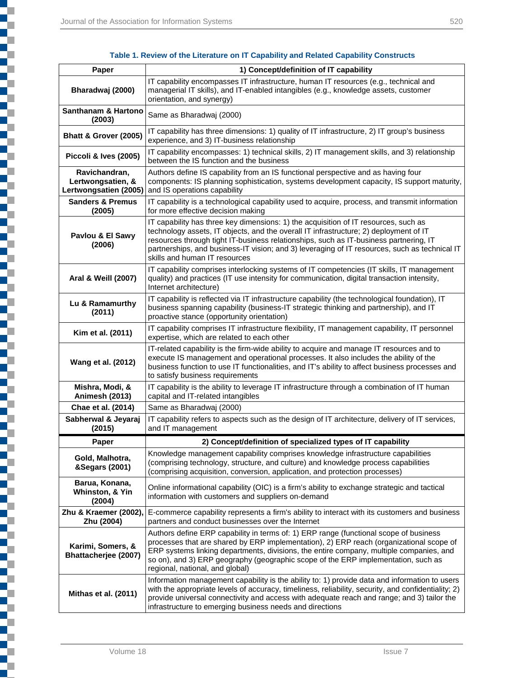ī

| Table 1. Review of the Literature on IT Capability and Related Capability Constructs |  |  |
|--------------------------------------------------------------------------------------|--|--|
|--------------------------------------------------------------------------------------|--|--|

| Paper                                                       | 1) Concept/definition of IT capability                                                                                                                                                                                                                                                                                                                                                                  |
|-------------------------------------------------------------|---------------------------------------------------------------------------------------------------------------------------------------------------------------------------------------------------------------------------------------------------------------------------------------------------------------------------------------------------------------------------------------------------------|
| Bharadwaj (2000)                                            | IT capability encompasses IT infrastructure, human IT resources (e.g., technical and<br>managerial IT skills), and IT-enabled intangibles (e.g., knowledge assets, customer<br>orientation, and synergy)                                                                                                                                                                                                |
| Santhanam & Hartono<br>(2003)                               | Same as Bharadwaj (2000)                                                                                                                                                                                                                                                                                                                                                                                |
| Bhatt & Grover (2005)                                       | IT capability has three dimensions: 1) quality of IT infrastructure, 2) IT group's business<br>experience, and 3) IT-business relationship                                                                                                                                                                                                                                                              |
| Piccoli & Ives (2005)                                       | IT capability encompasses: 1) technical skills, 2) IT management skills, and 3) relationship<br>between the IS function and the business                                                                                                                                                                                                                                                                |
| Ravichandran,<br>Lertwongsatien, &<br>Lertwongsatien (2005) | Authors define IS capability from an IS functional perspective and as having four<br>components: IS planning sophistication, systems development capacity, IS support maturity,<br>and IS operations capability                                                                                                                                                                                         |
| <b>Sanders &amp; Premus</b><br>(2005)                       | IT capability is a technological capability used to acquire, process, and transmit information<br>for more effective decision making                                                                                                                                                                                                                                                                    |
| Pavlou & El Sawy<br>(2006)                                  | IT capability has three key dimensions: 1) the acquisition of IT resources, such as<br>technology assets, IT objects, and the overall IT infrastructure; 2) deployment of IT<br>resources through tight IT-business relationships, such as IT-business partnering, IT<br>partnerships, and business-IT vision; and 3) leveraging of IT resources, such as technical IT<br>skills and human IT resources |
| Aral & Weill (2007)                                         | IT capability comprises interlocking systems of IT competencies (IT skills, IT management<br>quality) and practices (IT use intensity for communication, digital transaction intensity,<br>Internet architecture)                                                                                                                                                                                       |
| Lu & Ramamurthy<br>(2011)                                   | IT capability is reflected via IT infrastructure capability (the technological foundation), IT<br>business spanning capability (business-IT strategic thinking and partnership), and IT<br>proactive stance (opportunity orientation)                                                                                                                                                                   |
| Kim et al. (2011)                                           | IT capability comprises IT infrastructure flexibility, IT management capability, IT personnel<br>expertise, which are related to each other                                                                                                                                                                                                                                                             |
| Wang et al. (2012)                                          | IT-related capability is the firm-wide ability to acquire and manage IT resources and to<br>execute IS management and operational processes. It also includes the ability of the<br>business function to use IT functionalities, and IT's ability to affect business processes and<br>to satisfy business requirements                                                                                  |
| Mishra, Modi, &<br><b>Animesh (2013)</b>                    | IT capability is the ability to leverage IT infrastructure through a combination of IT human<br>capital and IT-related intangibles                                                                                                                                                                                                                                                                      |
| Chae et al. (2014)                                          | Same as Bharadwaj (2000)                                                                                                                                                                                                                                                                                                                                                                                |
| Sabherwal & Jeyaraj<br>(2015)                               | IT capability refers to aspects such as the design of IT architecture, delivery of IT services,<br>and IT management                                                                                                                                                                                                                                                                                    |
| Paper                                                       | 2) Concept/definition of specialized types of IT capability                                                                                                                                                                                                                                                                                                                                             |
| Gold, Malhotra,<br>&Segars (2001)                           | Knowledge management capability comprises knowledge infrastructure capabilities<br>(comprising technology, structure, and culture) and knowledge process capabilities<br>(comprising acquisition, conversion, application, and protection processes)                                                                                                                                                    |
| Barua, Konana,<br>Whinston, & Yin<br>(2004)                 | Online informational capability (OIC) is a firm's ability to exchange strategic and tactical<br>information with customers and suppliers on-demand                                                                                                                                                                                                                                                      |
| Zhu & Kraemer (2002),<br>Zhu (2004)                         | E-commerce capability represents a firm's ability to interact with its customers and business<br>partners and conduct businesses over the Internet                                                                                                                                                                                                                                                      |
| Karimi, Somers, &<br>Bhattacherjee (2007)                   | Authors define ERP capability in terms of: 1) ERP range (functional scope of business<br>processes that are shared by ERP implementation), 2) ERP reach (organizational scope of<br>ERP systems linking departments, divisions, the entire company, multiple companies, and<br>so on), and 3) ERP geography (geographic scope of the ERP implementation, such as<br>regional, national, and global)     |
| Mithas et al. (2011)                                        | Information management capability is the ability to: 1) provide data and information to users<br>with the appropriate levels of accuracy, timeliness, reliability, security, and confidentiality; 2)<br>provide universal connectivity and access with adequate reach and range; and 3) tailor the<br>infrastructure to emerging business needs and directions                                          |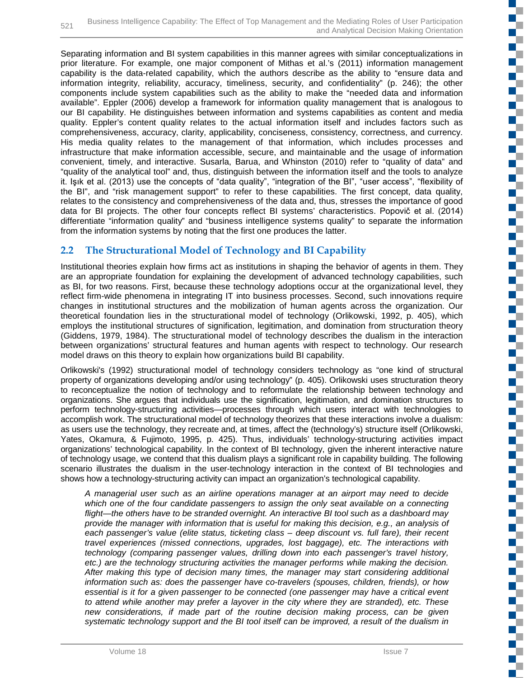Separating information and BI system capabilities in this manner agrees with similar conceptualizations in prior literature. For example, one major component of Mithas et al.'s (2011) information management capability is the data-related capability, which the authors describe as the ability to "ensure data and information integrity, reliability, accuracy, timeliness, security, and confidentiality" (p. 246); the other components include system capabilities such as the ability to make the "needed data and information available". Eppler (2006) develop a framework for information quality management that is analogous to our BI capability. He distinguishes between information and systems capabilities as content and media quality. Eppler's content quality relates to the actual information itself and includes factors such as comprehensiveness, accuracy, clarity, applicability, conciseness, consistency, correctness, and currency. His media quality relates to the management of that information, which includes processes and infrastructure that make information accessible, secure, and maintainable and the usage of information convenient, timely, and interactive. Susarla, Barua, and Whinston (2010) refer to "quality of data" and "quality of the analytical tool" and, thus, distinguish between the information itself and the tools to analyze it. Işık et al. (2013) use the concepts of "data quality", "integration of the BI", "user access", "flexibility of the BI", and "risk management support" to refer to these capabilities. The first concept, data quality, relates to the consistency and comprehensiveness of the data and, thus, stresses the importance of good data for BI projects. The other four concepts reflect BI systems' characteristics. Popovič et al. (2014) differentiate "information quality" and "business intelligence systems quality" to separate the information from the information systems by noting that the first one produces the latter.

### **2.2 The Structurational Model of Technology and BI Capability**

Institutional theories explain how firms act as institutions in shaping the behavior of agents in them. They are an appropriate foundation for explaining the development of advanced technology capabilities, such as BI, for two reasons. First, because these technology adoptions occur at the organizational level, they reflect firm-wide phenomena in integrating IT into business processes. Second, such innovations require changes in institutional structures and the mobilization of human agents across the organization. Our theoretical foundation lies in the structurational model of technology (Orlikowski, 1992, p. 405), which employs the institutional structures of signification, legitimation, and domination from structuration theory (Giddens, 1979, 1984). The structurational model of technology describes the dualism in the interaction between organizations' structural features and human agents with respect to technology. Our research model draws on this theory to explain how organizations build BI capability.

Orlikowski's (1992) structurational model of technology considers technology as "one kind of structural property of organizations developing and/or using technology" (p. 405). Orlikowski uses structuration theory to reconceptualize the notion of technology and to reformulate the relationship between technology and organizations. She argues that individuals use the signification, legitimation, and domination structures to perform technology-structuring activities—processes through which users interact with technologies to accomplish work. The structurational model of technology theorizes that these interactions involve a dualism: as users use the technology, they recreate and, at times, affect the (technology's) structure itself (Orlikowski, Yates, Okamura, & Fujimoto, 1995, p. 425). Thus, individuals' technology-structuring activities impact organizations' technological capability. In the context of BI technology, given the inherent interactive nature of technology usage, we contend that this dualism plays a significant role in capability building. The following scenario illustrates the dualism in the user-technology interaction in the context of BI technologies and shows how a technology-structuring activity can impact an organization's technological capability.

*A managerial user such as an airline operations manager at an airport may need to decide*  which one of the four candidate passengers to assign the only seat available on a connecting *flight—the others have to be stranded overnight. An interactive BI tool such as a dashboard may provide the manager with information that is useful for making this decision, e.g., an analysis of each passenger's value (elite status, ticketing class – deep discount vs. full fare), their recent travel experiences (missed connections, upgrades, lost baggage), etc. The interactions with technology (comparing passenger values, drilling down into each passenger's travel history, etc.) are the technology structuring activities the manager performs while making the decision. After making this type of decision many times, the manager may start considering additional information such as: does the passenger have co-travelers (spouses, children, friends), or how essential is it for a given passenger to be connected (one passenger may have a critical event to attend while another may prefer a layover in the city where they are stranded), etc. These new considerations, if made part of the routine decision making process, can be given systematic technology support and the BI tool itself can be improved, a result of the dualism in* 

**The Co** 

EĒ.

F.

₹

Ø.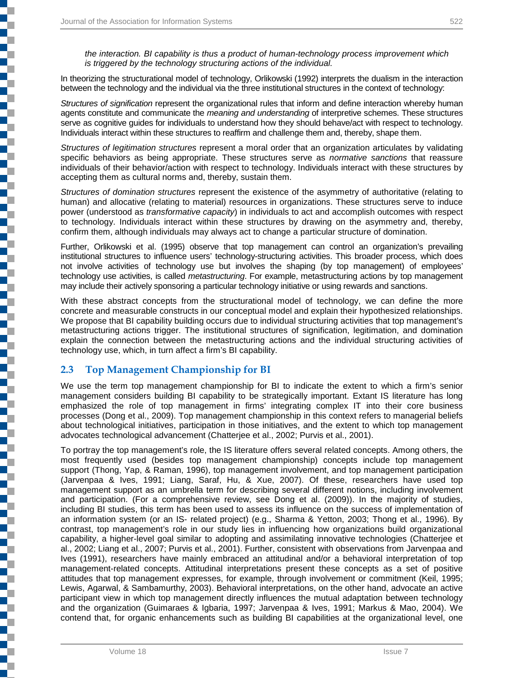į

l

*the interaction. BI capability is thus a product of human-technology process improvement which is triggered by the technology structuring actions of the individual.*

In theorizing the structurational model of technology, Orlikowski (1992) interprets the dualism in the interaction between the technology and the individual via the three institutional structures in the context of technology:

*Structures of signification* represent the organizational rules that inform and define interaction whereby human agents constitute and communicate the *meaning and understanding* of interpretive schemes. These structures serve as cognitive guides for individuals to understand how they should behave/act with respect to technology. Individuals interact within these structures to reaffirm and challenge them and, thereby, shape them.

*Structures of legitimation structures* represent a moral order that an organization articulates by validating specific behaviors as being appropriate. These structures serve as *normative sanctions* that reassure individuals of their behavior/action with respect to technology. Individuals interact with these structures by accepting them as cultural norms and, thereby, sustain them.

*Structures of domination structures* represent the existence of the asymmetry of authoritative (relating to human) and allocative (relating to material) resources in organizations. These structures serve to induce power (understood as *transformative capacity*) in individuals to act and accomplish outcomes with respect to technology. Individuals interact within these structures by drawing on the asymmetry and, thereby, confirm them, although individuals may always act to change a particular structure of domination.

Further, Orlikowski et al. (1995) observe that top management can control an organization's prevailing institutional structures to influence users' technology-structuring activities. This broader process, which does not involve activities of technology use but involves the shaping (by top management) of employees' technology use activities, is called *metastructuring*. For example, metastructuring actions by top management may include their actively sponsoring a particular technology initiative or using rewards and sanctions.

With these abstract concepts from the structurational model of technology, we can define the more concrete and measurable constructs in our conceptual model and explain their hypothesized relationships. We propose that BI capability building occurs due to individual structuring activities that top management's metastructuring actions trigger. The institutional structures of signification, legitimation, and domination explain the connection between the metastructuring actions and the individual structuring activities of technology use, which, in turn affect a firm's BI capability.

#### **2.3 Top Management Championship for BI**

We use the term top management championship for BI to indicate the extent to which a firm's senior management considers building BI capability to be strategically important. Extant IS literature has long emphasized the role of top management in firms' integrating complex IT into their core business processes (Dong et al., 2009). Top management championship in this context refers to managerial beliefs about technological initiatives, participation in those initiatives, and the extent to which top management advocates technological advancement (Chatterjee et al., 2002; Purvis et al., 2001).

To portray the top management's role, the IS literature offers several related concepts. Among others, the most frequently used (besides top management championship) concepts include top management support (Thong, Yap, & Raman, 1996), top management involvement, and top management participation (Jarvenpaa & Ives, 1991; Liang, Saraf, Hu, & Xue, 2007). Of these, researchers have used top management support as an umbrella term for describing several different notions, including involvement and participation. (For a comprehensive review, see Dong et al. (2009)). In the majority of studies, including BI studies, this term has been used to assess its influence on the success of implementation of an information system (or an IS- related project) (e.g., Sharma & Yetton, 2003; Thong et al., 1996). By contrast, top management's role in our study lies in influencing how organizations build organizational capability, a higher-level goal similar to adopting and assimilating innovative technologies (Chatterjee et al., 2002; Liang et al., 2007; Purvis et al., 2001). Further, consistent with observations from Jarvenpaa and Ives (1991), researchers have mainly embraced an attitudinal and/or a behavioral interpretation of top management-related concepts. Attitudinal interpretations present these concepts as a set of positive attitudes that top management expresses, for example, through involvement or commitment (Keil, 1995; Lewis, Agarwal, & Sambamurthy, 2003). Behavioral interpretations, on the other hand, advocate an active participant view in which top management directly influences the mutual adaptation between technology and the organization (Guimaraes & Igbaria, 1997; Jarvenpaa & Ives, 1991; Markus & Mao, 2004). We contend that, for organic enhancements such as building BI capabilities at the organizational level, one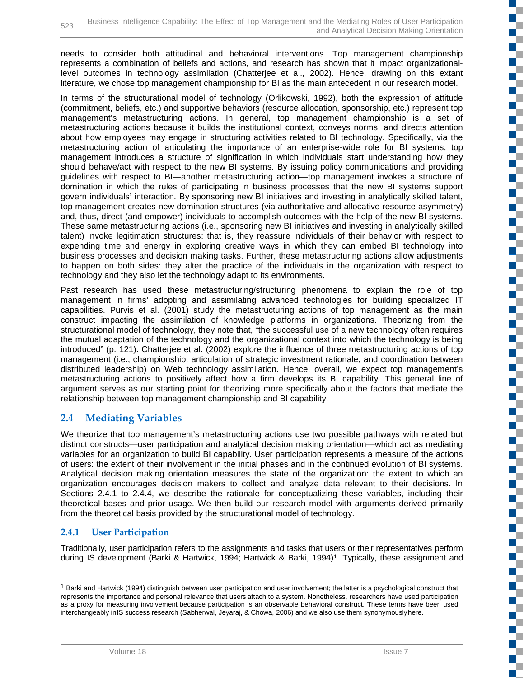needs to consider both attitudinal and behavioral interventions. Top management championship represents a combination of beliefs and actions, and research has shown that it impact organizationallevel outcomes in technology assimilation (Chatterjee et al., 2002). Hence, drawing on this extant literature, we chose top management championship for BI as the main antecedent in our research model.

In terms of the structurational model of technology (Orlikowski, 1992), both the expression of attitude (commitment, beliefs, etc.) and supportive behaviors (resource allocation, sponsorship, etc.) represent top management's metastructuring actions. In general, top management championship is a set of metastructuring actions because it builds the institutional context, conveys norms, and directs attention about how employees may engage in structuring activities related to BI technology. Specifically, via the metastructuring action of articulating the importance of an enterprise-wide role for BI systems, top management introduces a structure of signification in which individuals start understanding how they should behave/act with respect to the new BI systems. By issuing policy communications and providing guidelines with respect to BI—another metastructuring action—top management invokes a structure of domination in which the rules of participating in business processes that the new BI systems support govern individuals' interaction. By sponsoring new BI initiatives and investing in analytically skilled talent, top management creates new domination structures (via authoritative and allocative resource asymmetry) and, thus, direct (and empower) individuals to accomplish outcomes with the help of the new BI systems. These same metastructuring actions (i.e., sponsoring new BI initiatives and investing in analytically skilled talent) invoke legitimation structures: that is, they reassure individuals of their behavior with respect to expending time and energy in exploring creative ways in which they can embed BI technology into business processes and decision making tasks. Further, these metastructuring actions allow adjustments to happen on both sides: they alter the practice of the individuals in the organization with respect to technology and they also let the technology adapt to its environments.

Past research has used these metastructuring/structuring phenomena to explain the role of top management in firms' adopting and assimilating advanced technologies for building specialized IT capabilities. Purvis et al. (2001) study the metastructuring actions of top management as the main construct impacting the assimilation of knowledge platforms in organizations. Theorizing from the structurational model of technology, they note that, "the successful use of a new technology often requires the mutual adaptation of the technology and the organizational context into which the technology is being introduced" (p. 121). Chatterjee et al. (2002) explore the influence of three metastructuring actions of top management (i.e., championship, articulation of strategic investment rationale, and coordination between distributed leadership) on Web technology assimilation. Hence, overall, we expect top management's metastructuring actions to positively affect how a firm develops its BI capability. This general line of argument serves as our starting point for theorizing more specifically about the factors that mediate the relationship between top management championship and BI capability.

### **2.4 Mediating Variables**

We theorize that top management's metastructuring actions use two possible pathways with related but distinct constructs—user participation and analytical decision making orientation—which act as mediating variables for an organization to build BI capability. User participation represents a measure of the actions of users: the extent of their involvement in the initial phases and in the continued evolution of BI systems. Analytical decision making orientation measures the state of the organization: the extent to which an organization encourages decision makers to collect and analyze data relevant to their decisions. In Sections 2.4.1 to 2.4.4, we describe the rationale for conceptualizing these variables, including their theoretical bases and prior usage. We then build our research model with arguments derived primarily from the theoretical basis provided by the structurational model of technology.

#### **2.4.1 User Participation**

-

Traditionally, user participation refers to the assignments and tasks that users or their representatives perform during IS development (Barki & Hartwick, 1994; Hartwick & Barki, 1994)<sup>1</sup>. Typically, these assignment and **The Co** 

E.

d.

ĸ.

T.

 $\mathbb{R}^{\mathbb{Z}}$ 

ď,

г ď.

 $\overline{\phantom{a}}$ ШT.  $\overline{\phantom{a}}$ ç. FĒ

<span id="page-8-0"></span> $1$  Barki and Hartwick (1994) distinguish between user participation and user involvement; the latter is a psychological construct that represents the importance and personal relevance that users attach to a system. Nonetheless, researchers have used participation as a proxy for measuring involvement because participation is an observable behavioral construct. These terms have been used interchangeably inIS success research (Sabherwal, Jeyaraj, & Chowa, 2006) and we also use them synonymouslyhere.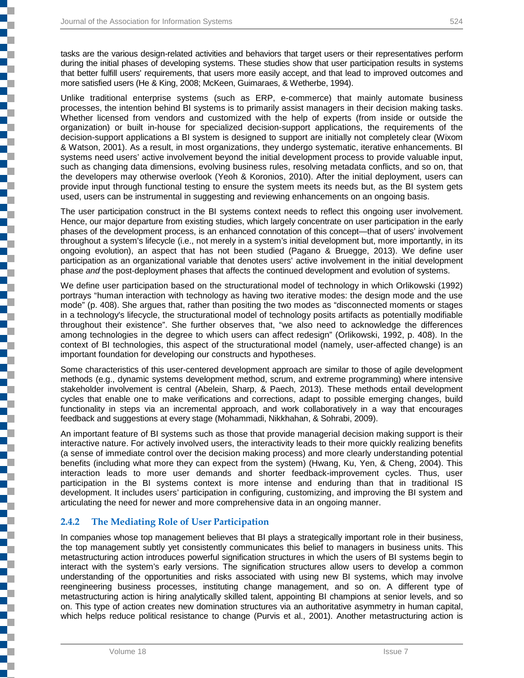j

┇

i<br>1

tasks are the various design-related activities and behaviors that target users or their representatives perform during the initial phases of developing systems. These studies show that user participation results in systems that better fulfill users' requirements, that users more easily accept, and that lead to improved outcomes and more satisfied users (He & King, 2008; McKeen, Guimaraes, & Wetherbe, 1994).

Unlike traditional enterprise systems (such as ERP, e-commerce) that mainly automate business processes, the intention behind BI systems is to primarily assist managers in their decision making tasks. Whether licensed from vendors and customized with the help of experts (from inside or outside the organization) or built in-house for specialized decision-support applications, the requirements of the decision-support applications a BI system is designed to support are initially not completely clear (Wixom & Watson, 2001). As a result, in most organizations, they undergo systematic, iterative enhancements. BI systems need users' active involvement beyond the initial development process to provide valuable input, such as changing data dimensions, evolving business rules, resolving metadata conflicts, and so on, that the developers may otherwise overlook (Yeoh & Koronios, 2010). After the initial deployment, users can provide input through functional testing to ensure the system meets its needs but, as the BI system gets used, users can be instrumental in suggesting and reviewing enhancements on an ongoing basis.

The user participation construct in the BI systems context needs to reflect this ongoing user involvement. Hence, our major departure from existing studies, which largely concentrate on user participation in the early phases of the development process, is an enhanced connotation of this concept—that of users' involvement throughout a system's lifecycle (i.e., not merely in a system's initial development but, more importantly, in its ongoing evolution), an aspect that has not been studied (Pagano & Bruegge, 2013). We define user participation as an organizational variable that denotes users' active involvement in the initial development phase *and* the post-deployment phases that affects the continued development and evolution of systems.

We define user participation based on the structurational model of technology in which Orlikowski (1992) portrays "human interaction with technology as having two iterative modes: the design mode and the use mode" (p. 408). She argues that, rather than positing the two modes as "disconnected moments or stages in a technology's lifecycle, the structurational model of technology posits artifacts as potentially modifiable throughout their existence". She further observes that, "we also need to acknowledge the differences among technologies in the degree to which users can affect redesign" (Orlikowski, 1992, p. 408). In the context of BI technologies, this aspect of the structurational model (namely, user-affected change) is an important foundation for developing our constructs and hypotheses.

Some characteristics of this user-centered development approach are similar to those of agile development methods (e.g., dynamic systems development method, scrum, and extreme programming) where intensive stakeholder involvement is central (Abelein, Sharp, & Paech, 2013). These methods entail development cycles that enable one to make verifications and corrections, adapt to possible emerging changes, build functionality in steps via an incremental approach, and work collaboratively in a way that encourages feedback and suggestions at every stage (Mohammadi, Nikkhahan, & Sohrabi, 2009).

An important feature of BI systems such as those that provide managerial decision making support is their interactive nature. For actively involved users, the interactivity leads to their more quickly realizing benefits (a sense of immediate control over the decision making process) and more clearly understanding potential benefits (including what more they can expect from the system) (Hwang, Ku, Yen, & Cheng, 2004). This interaction leads to more user demands and shorter feedback-improvement cycles. Thus, user participation in the BI systems context is more intense and enduring than that in traditional IS development. It includes users' participation in configuring, customizing, and improving the BI system and articulating the need for newer and more comprehensive data in an ongoing manner.

#### **2.4.2 The Mediating Role of User Participation**

In companies whose top management believes that BI plays a strategically important role in their business, the top management subtly yet consistently communicates this belief to managers in business units. This metastructuring action introduces powerful signification structures in which the users of BI systems begin to interact with the system's early versions. The signification structures allow users to develop a common understanding of the opportunities and risks associated with using new BI systems, which may involve reengineering business processes, instituting change management, and so on. A different type of metastructuring action is hiring analytically skilled talent, appointing BI champions at senior levels, and so on. This type of action creates new domination structures via an authoritative asymmetry in human capital, which helps reduce political resistance to change (Purvis et al., 2001). Another metastructuring action is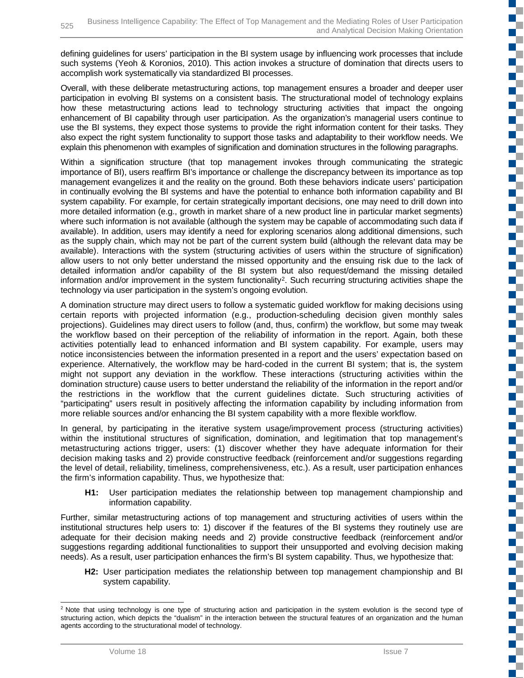defining guidelines for users' participation in the BI system usage by influencing work processes that include such systems (Yeoh & Koronios, 2010). This action invokes a structure of domination that directs users to accomplish work systematically via standardized BI processes.

Overall, with these deliberate metastructuring actions, top management ensures a broader and deeper user participation in evolving BI systems on a consistent basis. The structurational model of technology explains how these metastructuring actions lead to technology structuring activities that impact the ongoing enhancement of BI capability through user participation. As the organization's managerial users continue to use the BI systems, they expect those systems to provide the right information content for their tasks. They also expect the right system functionality to support those tasks and adaptability to their workflow needs. We explain this phenomenon with examples of signification and domination structures in the following paragraphs.

Within a signification structure (that top management invokes through communicating the strategic importance of BI), users reaffirm BI's importance or challenge the discrepancy between its importance as top management evangelizes it and the reality on the ground. Both these behaviors indicate users' participation in continually evolving the BI systems and have the potential to enhance both information capability and BI system capability. For example, for certain strategically important decisions, one may need to drill down into more detailed information (e.g., growth in market share of a new product line in particular market segments) where such information is not available (although the system may be capable of accommodating such data if available). In addition, users may identify a need for exploring scenarios along additional dimensions, such as the supply chain, which may not be part of the current system build (although the relevant data may be available). Interactions with the system (structuring activities of users within the structure of signification) allow users to not only better understand the missed opportunity and the ensuing risk due to the lack of detailed information and/or capability of the BI system but also request/demand the missing detailed information and/or improvement in the system functionality<sup>2</sup>. Such recurring structuring activities shape the technology via user participation in the system's ongoing evolution.

A domination structure may direct users to follow a systematic guided workflow for making decisions using certain reports with projected information (e.g., production-scheduling decision given monthly sales projections). Guidelines may direct users to follow (and, thus, confirm) the workflow, but some may tweak the workflow based on their perception of the reliability of information in the report. Again, both these activities potentially lead to enhanced information and BI system capability. For example, users may notice inconsistencies between the information presented in a report and the users' expectation based on experience. Alternatively, the workflow may be hard-coded in the current BI system; that is, the system might not support any deviation in the workflow. These interactions (structuring activities within the domination structure) cause users to better understand the reliability of the information in the report and/or the restrictions in the workflow that the current guidelines dictate. Such structuring activities of "participating" users result in positively affecting the information capability by including information from more reliable sources and/or enhancing the BI system capability with a more flexible workflow.

In general, by participating in the iterative system usage/improvement process (structuring activities) within the institutional structures of signification, domination, and legitimation that top management's metastructuring actions trigger, users: (1) discover whether they have adequate information for their decision making tasks and 2) provide constructive feedback (reinforcement and/or suggestions regarding the level of detail, reliability, timeliness, comprehensiveness, etc.). As a result, user participation enhances the firm's information capability. Thus, we hypothesize that:

**H1:** User participation mediates the relationship between top management championship and information capability.

Further, similar metastructuring actions of top management and structuring activities of users within the institutional structures help users to: 1) discover if the features of the BI systems they routinely use are adequate for their decision making needs and 2) provide constructive feedback (reinforcement and/or suggestions regarding additional functionalities to support their unsupported and evolving decision making needs). As a result, user participation enhances the firm's BI system capability. Thus, we hypothesize that:

**H2:** User participation mediates the relationship between top management championship and BI system capability.

**Film** n. n j с E.

d.

ď.

Œ E.

a.

N. **Fi** 

ď.

Ŧ.

ПT

E. E.  $\blacksquare$ 2

ź

2

<span id="page-10-0"></span><sup>&</sup>lt;sup>2</sup> Note that using technology is one type of structuring action and participation in the system evolution is the second type of structuring action, which depicts the "dualism" in the interaction between the structural features of an organization and the human agents according to the structurational model of technology.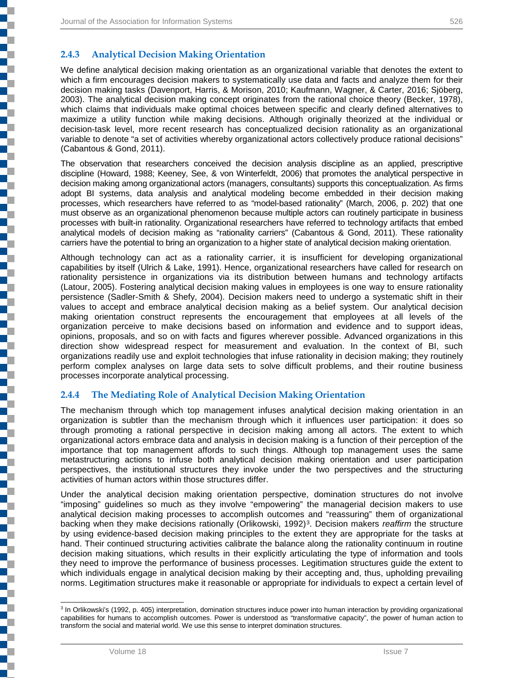į

j

E

j

**Contract of the Contract of the Contract of the Contract of the Contract of the Contract of the Contract of th** 

#### **2.4.3 Analytical Decision Making Orientation**

We define analytical decision making orientation as an organizational variable that denotes the extent to which a firm encourages decision makers to systematically use data and facts and analyze them for their decision making tasks (Davenport, Harris, & Morison, 2010; Kaufmann, Wagner, & Carter, 2016; Sjöberg, 2003). The analytical decision making concept originates from the rational choice theory (Becker, 1978), which claims that individuals make optimal choices between specific and clearly defined alternatives to maximize a utility function while making decisions. Although originally theorized at the individual or decision-task level, more recent research has conceptualized decision rationality as an organizational variable to denote "a set of activities whereby organizational actors collectively produce rational decisions" (Cabantous & Gond, 2011).

The observation that researchers conceived the decision analysis discipline as an applied, prescriptive discipline (Howard, 1988; Keeney, See, & von Winterfeldt, 2006) that promotes the analytical perspective in decision making among organizational actors (managers, consultants) supports this conceptualization. As firms adopt BI systems, data analysis and analytical modeling become embedded in their decision making processes, which researchers have referred to as "model-based rationality" (March, 2006, p. 202) that one must observe as an organizational phenomenon because multiple actors can routinely participate in business processes with built-in rationality. Organizational researchers have referred to technology artifacts that embed analytical models of decision making as "rationality carriers" (Cabantous & Gond, 2011). These rationality carriers have the potential to bring an organization to a higher state of analytical decision making orientation.

Although technology can act as a rationality carrier, it is insufficient for developing organizational capabilities by itself (Ulrich & Lake, 1991). Hence, organizational researchers have called for research on rationality persistence in organizations via its distribution between humans and technology artifacts (Latour, 2005). Fostering analytical decision making values in employees is one way to ensure rationality persistence (Sadler-Smith & Shefy, 2004). Decision makers need to undergo a systematic shift in their values to accept and embrace analytical decision making as a belief system. Our analytical decision making orientation construct represents the encouragement that employees at all levels of the organization perceive to make decisions based on information and evidence and to support ideas, opinions, proposals, and so on with facts and figures wherever possible. Advanced organizations in this direction show widespread respect for measurement and evaluation. In the context of BI, such organizations readily use and exploit technologies that infuse rationality in decision making; they routinely perform complex analyses on large data sets to solve difficult problems, and their routine business processes incorporate analytical processing.

#### **2.4.4 The Mediating Role of Analytical Decision Making Orientation**

The mechanism through which top management infuses analytical decision making orientation in an organization is subtler than the mechanism through which it influences user participation: it does so through promoting a rational perspective in decision making among all actors. The extent to which organizational actors embrace data and analysis in decision making is a function of their perception of the importance that top management affords to such things. Although top management uses the same metastructuring actions to infuse both analytical decision making orientation and user participation perspectives, the institutional structures they invoke under the two perspectives and the structuring activities of human actors within those structures differ.

Under the analytical decision making orientation perspective, domination structures do not involve "imposing" guidelines so much as they involve "empowering" the managerial decision makers to use analytical decision making processes to accomplish outcomes and "reassuring" them of organizational backing when they make decisions rationally (Orlikowski, 1992)<sup>3</sup>. Decision makers *reaffirm* the structure by using evidence-based decision making principles to the extent they are appropriate for the tasks at hand. Their continued structuring activities calibrate the balance along the rationality continuum in routine decision making situations, which results in their explicitly articulating the type of information and tools they need to improve the performance of business processes. Legitimation structures guide the extent to which individuals engage in analytical decision making by their accepting and, thus, upholding prevailing norms. Legitimation structures make it reasonable or appropriate for individuals to expect a certain level of

<span id="page-11-0"></span><sup>&</sup>lt;sup>3</sup> In Orlikowski's (1992, p. 405) interpretation, domination structures induce power into human interaction by providing organizational capabilities for humans to accomplish outcomes. Power is understood as "transformative capacity", the power of human action to transform the social and material world. We use this sense to interpret domination structures.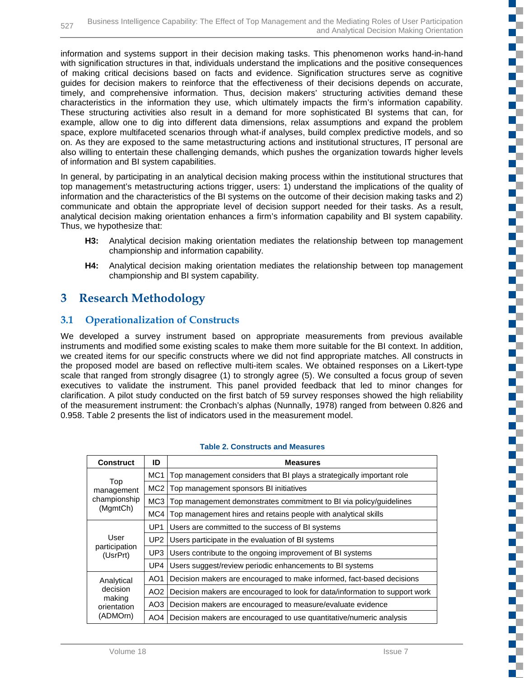information and systems support in their decision making tasks. This phenomenon works hand-in-hand with signification structures in that, individuals understand the implications and the positive consequences of making critical decisions based on facts and evidence. Signification structures serve as cognitive guides for decision makers to reinforce that the effectiveness of their decisions depends on accurate, timely, and comprehensive information. Thus, decision makers' structuring activities demand these characteristics in the information they use, which ultimately impacts the firm's information capability. These structuring activities also result in a demand for more sophisticated BI systems that can, for example, allow one to dig into different data dimensions, relax assumptions and expand the problem space, explore multifaceted scenarios through what-if analyses, build complex predictive models, and so on. As they are exposed to the same metastructuring actions and institutional structures, IT personal are also willing to entertain these challenging demands, which pushes the organization towards higher levels of information and BI system capabilities.

In general, by participating in an analytical decision making process within the institutional structures that top management's metastructuring actions trigger, users: 1) understand the implications of the quality of information and the characteristics of the BI systems on the outcome of their decision making tasks and 2) communicate and obtain the appropriate level of decision support needed for their tasks. As a result, analytical decision making orientation enhances a firm's information capability and BI system capability. Thus, we hypothesize that:

- **H3:** Analytical decision making orientation mediates the relationship between top management championship and information capability.
- **H4:** Analytical decision making orientation mediates the relationship between top management championship and BI system capability.

# **3 Research Methodology**

### **3.1 Operationalization of Constructs**

We developed a survey instrument based on appropriate measurements from previous available instruments and modified some existing scales to make them more suitable for the BI context. In addition, we created items for our specific constructs where we did not find appropriate matches. All constructs in the proposed model are based on reflective multi-item scales. We obtained responses on a Likert-type scale that ranged from strongly disagree (1) to strongly agree (5). We consulted a focus group of seven executives to validate the instrument. This panel provided feedback that led to minor changes for clarification. A pilot study conducted on the first batch of 59 survey responses showed the high reliability of the measurement instrument: the Cronbach's alphas (Nunnally, 1978) ranged from between 0.826 and 0.958. Table 2 presents the list of indicators used in the measurement model.

| <b>Construct</b>              | ID              | <b>Measures</b>                                                             |
|-------------------------------|-----------------|-----------------------------------------------------------------------------|
|                               | MC <sub>1</sub> | Top management considers that BI plays a strategically important role       |
| Top<br>management             | MC <sub>2</sub> | Top management sponsors BI initiatives                                      |
| championship                  | MC <sub>3</sub> | Top management demonstrates commitment to BI via policy/guidelines          |
| (MgmtCh)                      | MC4             | Top management hires and retains people with analytical skills              |
| UP1                           |                 | Users are committed to the success of BI systems                            |
| User                          | UP <sub>2</sub> | Users participate in the evaluation of BI systems                           |
| participation<br>(UsrPrt)     | UP3             | Users contribute to the ongoing improvement of BI systems                   |
|                               | UP4             | Users suggest/review periodic enhancements to BI systems                    |
| AO <sub>1</sub><br>Analytical |                 | Decision makers are encouraged to make informed, fact-based decisions       |
| decision                      | AO <sub>2</sub> | Decision makers are encouraged to look for data/information to support work |
| making<br>orientation         | AO <sub>3</sub> | Decision makers are encouraged to measure/evaluate evidence                 |
| (ADMOrn)                      | AO4             | Decision makers are encouraged to use quantitative/numeric analysis         |

#### **Table 2. Constructs and Measures**

Œ

H.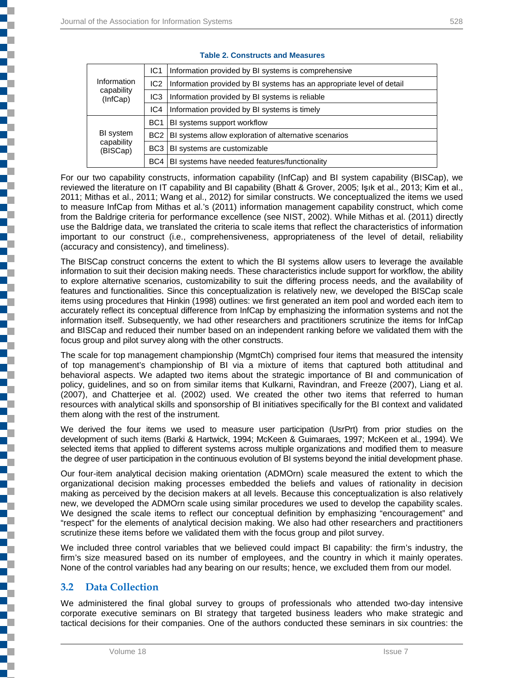Ę

|                        | IC <sub>1</sub> | Information provided by BI systems is comprehensive                   |  |  |  |
|------------------------|-----------------|-----------------------------------------------------------------------|--|--|--|
| Information            | IC <sub>2</sub> | Information provided by BI systems has an appropriate level of detail |  |  |  |
| capability<br>(InfCap) | IC <sub>3</sub> | Information provided by BI systems is reliable                        |  |  |  |
|                        | IC4             | Information provided by BI systems is timely                          |  |  |  |
|                        | BC <sub>1</sub> | BI systems support workflow                                           |  |  |  |
| BI system              |                 | BC2   BI systems allow exploration of alternative scenarios           |  |  |  |
| capability<br>(BISCap) |                 | BC3   BI systems are customizable                                     |  |  |  |
|                        | BC4             | BI systems have needed features/functionality                         |  |  |  |

#### **Table 2. Constructs and Measures**

For our two capability constructs, information capability (InfCap) and BI system capability (BISCap), we reviewed the literature on IT capability and BI capability (Bhatt & Grover, 2005; Işık et al., 2013; Kim et al., 2011; Mithas et al., 2011; Wang et al., 2012) for similar constructs. We conceptualized the items we used to measure InfCap from Mithas et al.'s (2011) information management capability construct, which come from the Baldrige criteria for performance excellence (see NIST, 2002). While Mithas et al. (2011) directly use the Baldrige data, we translated the criteria to scale items that reflect the characteristics of information important to our construct (i.e., comprehensiveness, appropriateness of the level of detail, reliability (accuracy and consistency), and timeliness).

The BISCap construct concerns the extent to which the BI systems allow users to leverage the available information to suit their decision making needs. These characteristics include support for workflow, the ability to explore alternative scenarios, customizability to suit the differing process needs, and the availability of features and functionalities. Since this conceptualization is relatively new, we developed the BISCap scale items using procedures that Hinkin (1998) outlines: we first generated an item pool and worded each item to accurately reflect its conceptual difference from InfCap by emphasizing the information systems and not the information itself. Subsequently, we had other researchers and practitioners scrutinize the items for InfCap and BISCap and reduced their number based on an independent ranking before we validated them with the focus group and pilot survey along with the other constructs.

The scale for top management championship (MgmtCh) comprised four items that measured the intensity of top management's championship of BI via a mixture of items that captured both attitudinal and behavioral aspects. We adapted two items about the strategic importance of BI and communication of policy, guidelines, and so on from similar items that Kulkarni, Ravindran, and Freeze (2007), Liang et al. (2007), and Chatterjee et al. (2002) used. We created the other two items that referred to human resources with analytical skills and sponsorship of BI initiatives specifically for the BI context and validated them along with the rest of the instrument.

We derived the four items we used to measure user participation (UsrPrt) from prior studies on the development of such items (Barki & Hartwick, 1994; McKeen & Guimaraes, 1997; McKeen et al., 1994). We selected items that applied to different systems across multiple organizations and modified them to measure the degree of user participation in the continuous evolution of BI systems beyond the initial development phase.

Our four-item analytical decision making orientation (ADMOrn) scale measured the extent to which the organizational decision making processes embedded the beliefs and values of rationality in decision making as perceived by the decision makers at all levels. Because this conceptualization is also relatively new, we developed the ADMOrn scale using similar procedures we used to develop the capability scales. We designed the scale items to reflect our conceptual definition by emphasizing "encouragement" and "respect" for the elements of analytical decision making. We also had other researchers and practitioners scrutinize these items before we validated them with the focus group and pilot survey.

We included three control variables that we believed could impact BI capability: the firm's industry, the firm's size measured based on its number of employees, and the country in which it mainly operates. None of the control variables had any bearing on our results; hence, we excluded them from our model.

### **3.2 Data Collection**

We administered the final global survey to groups of professionals who attended two-day intensive corporate executive seminars on BI strategy that targeted business leaders who make strategic and tactical decisions for their companies. One of the authors conducted these seminars in six countries: the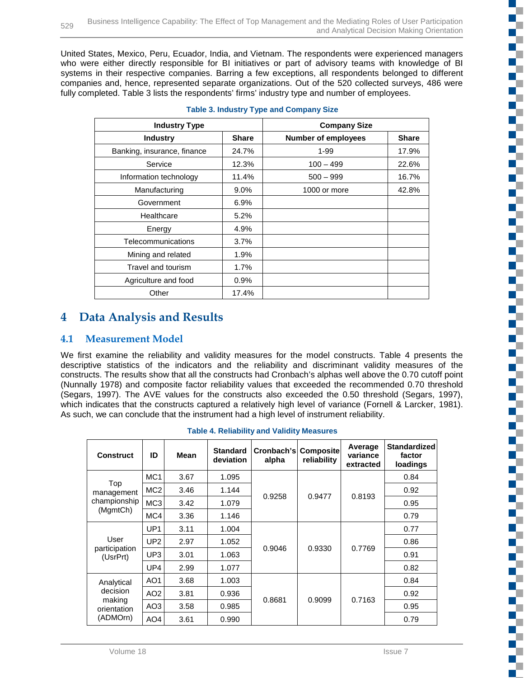United States, Mexico, Peru, Ecuador, India, and Vietnam. The respondents were experienced managers who were either directly responsible for BI initiatives or part of advisory teams with knowledge of BI systems in their respective companies. Barring a few exceptions, all respondents belonged to different companies and, hence, represented separate organizations. Out of the 520 collected surveys, 486 were fully completed. Table 3 lists the respondents' firms' industry type and number of employees.

| <b>Industry Type</b>        |              | <b>Company Size</b>        |              |  |  |
|-----------------------------|--------------|----------------------------|--------------|--|--|
| <b>Industry</b>             | <b>Share</b> | <b>Number of employees</b> | <b>Share</b> |  |  |
| Banking, insurance, finance | 24.7%        | 1-99                       | 17.9%        |  |  |
| Service                     | 12.3%        | $100 - 499$                | 22.6%        |  |  |
| Information technology      | 11.4%        | $500 - 999$                | 16.7%        |  |  |
| Manufacturing               | $9.0\%$      | 1000 or more               | 42.8%        |  |  |
| Government                  | 6.9%         |                            |              |  |  |
| Healthcare                  | 5.2%         |                            |              |  |  |
| Energy                      | 4.9%         |                            |              |  |  |
| Telecommunications          | 3.7%         |                            |              |  |  |
| Mining and related          | 1.9%         |                            |              |  |  |
| Travel and tourism          | 1.7%         |                            |              |  |  |
| Agriculture and food        | 0.9%         |                            |              |  |  |
| Other                       | 17.4%        |                            |              |  |  |

#### **Table 3. Industry Type and Company Size**

## **4 Data Analysis and Results**

#### **4.1 Measurement Model**

We first examine the reliability and validity measures for the model constructs. Table 4 presents the descriptive statistics of the indicators and the reliability and discriminant validity measures of the constructs. The results show that all the constructs had Cronbach's alphas well above the 0.70 cutoff point (Nunnally 1978) and composite factor reliability values that exceeded the recommended 0.70 threshold (Segars, 1997). The AVE values for the constructs also exceeded the 0.50 threshold (Segars, 1997), which indicates that the constructs captured a relatively high level of variance (Fornell & Larcker, 1981). As such, we can conclude that the instrument had a high level of instrument reliability.

| <b>Construct</b>                                            | ID                               | <b>Mean</b> | <b>Standard</b><br>deviation | Cronbach's<br>alpha | <b>Composite</b><br>reliability | Average<br>variance<br>extracted | <b>Standardized</b><br>factor<br>loadings |
|-------------------------------------------------------------|----------------------------------|-------------|------------------------------|---------------------|---------------------------------|----------------------------------|-------------------------------------------|
|                                                             | MC <sub>1</sub>                  | 3.67        | 1.095                        |                     |                                 |                                  | 0.84                                      |
| Top<br>management                                           | MC <sub>2</sub>                  | 3.46        | 1.144                        |                     |                                 |                                  | 0.92                                      |
| championship                                                | MC <sub>3</sub>                  | 3.42        | 1.079                        | 0.9258              | 0.9477                          | 0.8193                           | 0.95                                      |
| (MgmtCh)                                                    | MC4                              | 3.36        | 1.146                        |                     |                                 |                                  | 0.79                                      |
|                                                             | UP <sub>1</sub><br>3.11<br>1.004 |             |                              | 0.77                |                                 |                                  |                                           |
| User                                                        | UP <sub>2</sub>                  | 2.97        | 1.052                        | 0.9046              | 0.9330                          | 0.7769                           | 0.86                                      |
| participation<br>(UsrPrt)                                   | UP <sub>3</sub>                  | 3.01        | 1.063                        |                     |                                 |                                  | 0.91                                      |
|                                                             | UP4                              | 2.99        | 1.077                        |                     |                                 |                                  | 0.82                                      |
| Analytical<br>decision<br>making<br>orientation<br>(ADMOrn) | AO <sub>1</sub>                  | 3.68        | 1.003                        |                     |                                 |                                  | 0.84                                      |
|                                                             | AO <sub>2</sub>                  | 3.81        | 0.936                        |                     |                                 |                                  | 0.92                                      |
|                                                             | AO <sub>3</sub>                  | 3.58        | 0.985                        | 0.8681              | 0.9099                          | 0.7163                           | 0.95                                      |
|                                                             | AO <sub>4</sub>                  | 3.61        | 0.990                        |                     |                                 |                                  | 0.79                                      |

|  | <b>Table 4. Reliability and Validity Measures</b> |  |  |  |
|--|---------------------------------------------------|--|--|--|
|--|---------------------------------------------------|--|--|--|

**ISBN** 

T г Œ

c ď, g.

г

ď,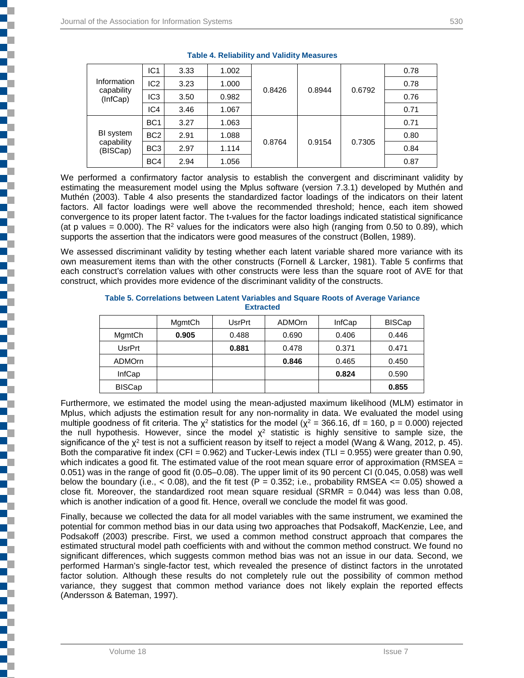j

| Information<br>capability<br>(InfCap) | IC <sub>1</sub> | 3.33 | 1.002 |        |        | 0.6792 | 0.78 |
|---------------------------------------|-----------------|------|-------|--------|--------|--------|------|
|                                       | IC <sub>2</sub> | 3.23 | 1.000 |        | 0.8944 |        | 0.78 |
|                                       | IC <sub>3</sub> | 3.50 | 0.982 | 0.8426 |        |        | 0.76 |
|                                       | IC4             | 3.46 | 1.067 |        |        |        | 0.71 |
| BI system<br>capability<br>(BISCap)   | BC <sub>1</sub> | 3.27 | 1.063 | 0.8764 | 0.9154 | 0.7305 | 0.71 |
|                                       | BC <sub>2</sub> | 2.91 | 1.088 |        |        |        | 0.80 |
|                                       | BC <sub>3</sub> | 2.97 | 1.114 |        |        |        | 0.84 |
|                                       | BC4             | 2.94 | 1.056 |        |        |        | 0.87 |

#### **Table 4. Reliability and Validity Measures**

We performed a confirmatory factor analysis to establish the convergent and discriminant validity by estimating the measurement model using the Mplus software (version 7.3.1) developed by Muthén and Muthén (2003). Table 4 also presents the standardized factor loadings of the indicators on their latent factors. All factor loadings were well above the recommended threshold; hence, each item showed convergence to its proper latent factor. The t-values for the factor loadings indicated statistical significance (at p values = 0.000). The  $R^2$  values for the indicators were also high (ranging from 0.50 to 0.89), which supports the assertion that the indicators were good measures of the construct (Bollen, 1989).

We assessed discriminant validity by testing whether each latent variable shared more variance with its own measurement items than with the other constructs (Fornell & Larcker, 1981). Table 5 confirms that each construct's correlation values with other constructs were less than the square root of AVE for that construct, which provides more evidence of the discriminant validity of the constructs.

|               | MgmtCh | UsrPrt | <b>ADMOrn</b> | InfCap | <b>BISCap</b> |
|---------------|--------|--------|---------------|--------|---------------|
| MgmtCh        | 0.905  | 0.488  | 0.690         | 0.406  | 0.446         |
| UsrPrt        |        | 0.881  | 0.478         | 0.371  | 0.471         |
| <b>ADMOrn</b> |        |        | 0.846         | 0.465  | 0.450         |
| <b>InfCap</b> |        |        |               | 0.824  | 0.590         |
| <b>BISCap</b> |        |        |               |        | 0.855         |

#### **Table 5. Correlations between Latent Variables and Square Roots of Average Variance Extracted**

Furthermore, we estimated the model using the mean-adjusted maximum likelihood (MLM) estimator in Mplus, which adjusts the estimation result for any non-normality in data. We evaluated the model using multiple goodness of fit criteria. The  $\chi^2$  statistics for the model ( $\chi^2$  = 366.16, df = 160, p = 0.000) rejected the null hypothesis. However, since the model  $\chi^2$  statistic is highly sensitive to sample size, the significance of the χ<sup>2</sup> test is not a sufficient reason by itself to reject a model (Wang & Wang, 2012, p. 45). Both the comparative fit index (CFI =  $0.962$ ) and Tucker-Lewis index (TLI =  $0.955$ ) were greater than 0.90, which indicates a good fit. The estimated value of the root mean square error of approximation (RMSEA = 0.051) was in the range of good fit (0.05–0.08). The upper limit of its 90 percent CI (0.045, 0.058) was well below the boundary (i.e.,  $<$  0.08), and the fit test (P = 0.352; i.e., probability RMSEA  $<=$  0.05) showed a close fit. Moreover, the standardized root mean square residual (SRMR =  $0.044$ ) was less than  $0.08$ , which is another indication of a good fit. Hence, overall we conclude the model fit was good.

Finally, because we collected the data for all model variables with the same instrument, we examined the potential for common method bias in our data using two approaches that Podsakoff, MacKenzie, Lee, and Podsakoff (2003) prescribe. First, we used a common method construct approach that compares the estimated structural model path coefficients with and without the common method construct. We found no significant differences, which suggests common method bias was not an issue in our data. Second, we performed Harman's single-factor test, which revealed the presence of distinct factors in the unrotated factor solution. Although these results do not completely rule out the possibility of common method variance, they suggest that common method variance does not likely explain the reported effects (Andersson & Bateman, 1997).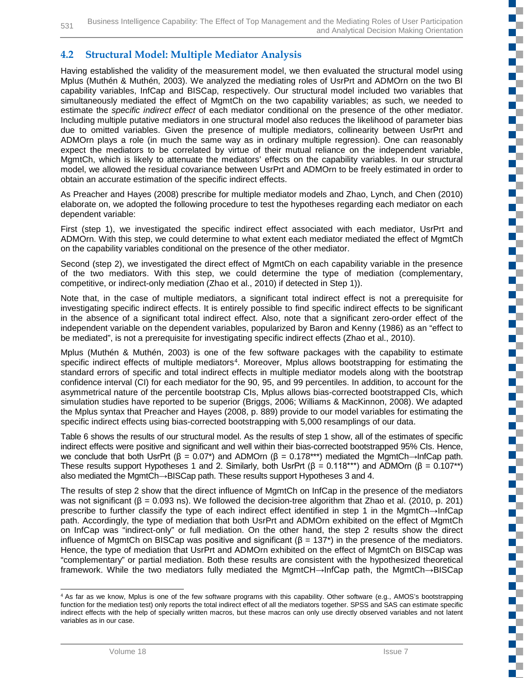### **4.2 Structural Model: Multiple Mediator Analysis**

Having established the validity of the measurement model, we then evaluated the structural model using Mplus (Muthén & Muthén, 2003). We analyzed the mediating roles of UsrPrt and ADMOrn on the two BI capability variables, InfCap and BISCap, respectively. Our structural model included two variables that simultaneously mediated the effect of MgmtCh on the two capability variables; as such, we needed to estimate the *specific indirect effect* of each mediator conditional on the presence of the other mediator. Including multiple putative mediators in one structural model also reduces the likelihood of parameter bias due to omitted variables. Given the presence of multiple mediators, collinearity between UsrPrt and ADMOrn plays a role (in much the same way as in ordinary multiple regression). One can reasonably expect the mediators to be correlated by virtue of their mutual reliance on the independent variable, MgmtCh, which is likely to attenuate the mediators' effects on the capability variables. In our structural model, we allowed the residual covariance between UsrPrt and ADMOrn to be freely estimated in order to obtain an accurate estimation of the specific indirect effects.

As Preacher and Hayes (2008) prescribe for multiple mediator models and Zhao, Lynch, and Chen (2010) elaborate on, we adopted the following procedure to test the hypotheses regarding each mediator on each dependent variable:

First (step 1), we investigated the specific indirect effect associated with each mediator, UsrPrt and ADMOrn. With this step, we could determine to what extent each mediator mediated the effect of MgmtCh on the capability variables conditional on the presence of the other mediator.

Second (step 2), we investigated the direct effect of MgmtCh on each capability variable in the presence of the two mediators. With this step, we could determine the type of mediation (complementary, competitive, or indirect-only mediation (Zhao et al., 2010) if detected in Step 1)).

Note that, in the case of multiple mediators, a significant total indirect effect is not a prerequisite for investigating specific indirect effects. It is entirely possible to find specific indirect effects to be significant in the absence of a significant total indirect effect. Also, note that a significant zero-order effect of the independent variable on the dependent variables, popularized by Baron and Kenny (1986) as an "effect to be mediated", is not a prerequisite for investigating specific indirect effects (Zhao et al., 2010).

Mplus (Muthén & Muthén, 2003) is one of the few software packages with the capability to estimate specific indirect effects of multiple mediators<sup>4</sup>. Moreover, Mplus allows bootstrapping for estimating the standard errors of specific and total indirect effects in multiple mediator models along with the bootstrap confidence interval (CI) for each mediator for the 90, 95, and 99 percentiles. In addition, to account for the asymmetrical nature of the percentile bootstrap CIs, Mplus allows bias-corrected bootstrapped CIs, which simulation studies have reported to be superior (Briggs, 2006; Williams & MacKinnon, 2008). We adapted the Mplus syntax that Preacher and Hayes (2008, p. 889) provide to our model variables for estimating the specific indirect effects using bias-corrected bootstrapping with 5,000 resamplings of our data.

Table 6 shows the results of our structural model. As the results of step 1 show, all of the estimates of specific indirect effects were positive and significant and well within their bias-corrected bootstrapped 95% CIs. Hence, we conclude that both UsrPrt ( $\beta = 0.07^*$ ) and ADMOrn ( $\beta = 0.178^{***}$ ) mediated the MgmtCh→InfCap path. These results support Hypotheses 1 and 2. Similarly, both UsrPrt ( $\beta = 0.118***$ ) and ADMOrn ( $\beta = 0.107**$ ) also mediated the MgmtCh→BISCap path. These results support Hypotheses 3 and 4.

The results of step 2 show that the direct influence of MgmtCh on InfCap in the presence of the mediators was not significant (β = 0.093 ns). We followed the decision-tree algorithm that Zhao et al. (2010, p. 201) prescribe to further classify the type of each indirect effect identified in step 1 in the MgmtCh→InfCap path. Accordingly, the type of mediation that both UsrPrt and ADMOrn exhibited on the effect of MgmtCh on InfCap was "indirect-only" or full mediation. On the other hand, the step 2 results show the direct influence of MgmtCh on BISCap was positive and significant ( $\beta$  = 137<sup>\*</sup>) in the presence of the mediators. Hence, the type of mediation that UsrPrt and ADMOrn exhibited on the effect of MgmtCh on BISCap was "complementary" or partial mediation. Both these results are consistent with the hypothesized theoretical framework. While the two mediators fully mediated the MgmtCH→InfCap path, the MgmtCh→BISCap n T

n T г E.

a pr Ē.

₹ a pr m.

Œ E.

a. c ď. ال<br>مال

C ٣Ē,

ď,

**TT** 

 $\mathbb{R}^n$  $\mathbb{R}^{\mathbb{Z}}$ 

H. C, n T

<span id="page-16-0"></span> <sup>4</sup> As far as we know, Mplus is one of the few software programs with this capability. Other software (e.g., AMOS's bootstrapping function for the mediation test) only reports the total indirect effect of all the mediators together. SPSS and SAS can estimate specific indirect effects with the help of specially written macros, but these macros can only use directly observed variables and not latent variables as in our case.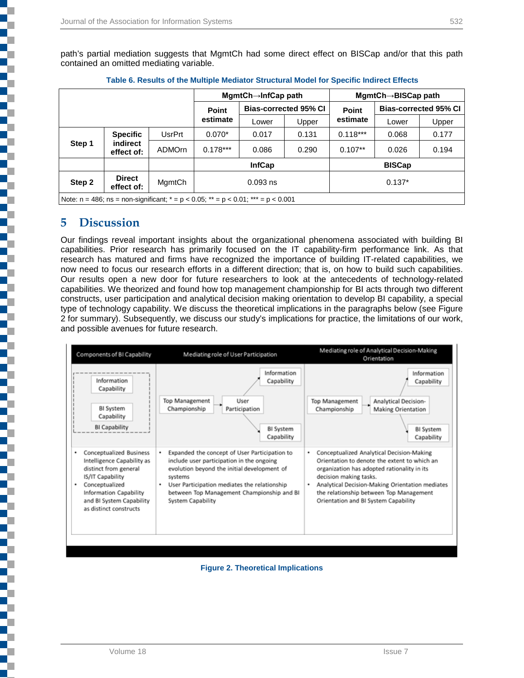|                                                                                                 |                                |               | MgmtCh→InfCap path           |       |       |                              | MgmtCh→BISCap path |       |
|-------------------------------------------------------------------------------------------------|--------------------------------|---------------|------------------------------|-------|-------|------------------------------|--------------------|-------|
|                                                                                                 |                                | Point         | <b>Bias-corrected 95% CI</b> |       | Point | <b>Bias-corrected 95% CI</b> |                    |       |
|                                                                                                 |                                |               | estimate                     | Lower | Upper | estimate                     | Lower              | Upper |
|                                                                                                 | <b>Specific</b>                | UsrPrt        | $0.070*$                     | 0.017 | 0.131 | $0.118***$                   | 0.068              | 0.177 |
| Step 1                                                                                          | indirect<br>effect of:         | <b>ADMOrn</b> | $0.178***$                   | 0.086 | 0.290 | $0.107**$                    | 0.026              | 0.194 |
|                                                                                                 | <b>BISCap</b><br><b>InfCap</b> |               |                              |       |       |                              |                    |       |
| <b>Direct</b><br>Step 2<br>MgmtCh<br>$0.137*$<br>$0.093$ ns<br>effect of:                       |                                |               |                              |       |       |                              |                    |       |
| Note: $n = 486$ ; $ns = non-significant$ ; $* = p < 0.05$ ; $** = p < 0.01$ ; $*** = p < 0.001$ |                                |               |                              |       |       |                              |                    |       |

|  |  | Table 6. Results of the Multiple Mediator Structural Model for Specific Indirect Effects |
|--|--|------------------------------------------------------------------------------------------|
|  |  |                                                                                          |

### **5 Discussion**

٦

Ş

i<br>I

Our findings reveal important insights about the organizational phenomena associated with building BI capabilities. Prior research has primarily focused on the IT capability-firm performance link. As that research has matured and firms have recognized the importance of building IT-related capabilities, we now need to focus our research efforts in a different direction; that is, on how to build such capabilities. Our results open a new door for future researchers to look at the antecedents of technology-related capabilities. We theorized and found how top management championship for BI acts through two different constructs, user participation and analytical decision making orientation to develop BI capability, a special type of technology capability. We discuss the theoretical implications in the paragraphs below (see Figure 2 for summary). Subsequently, we discuss our study's implications for practice, the limitations of our work, and possible avenues for future research.



#### **Figure 2. Theoretical Implications**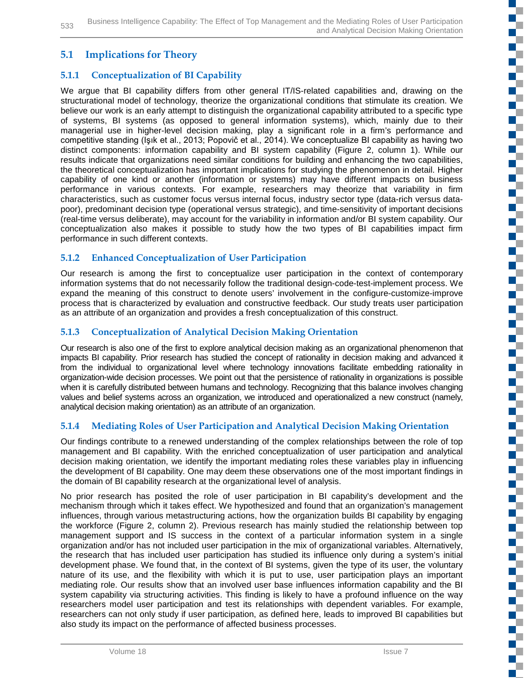### **5.1 Implications for Theory**

### **5.1.1 Conceptualization of BI Capability**

We argue that BI capability differs from other general IT/IS-related capabilities and, drawing on the structurational model of technology, theorize the organizational conditions that stimulate its creation. We believe our work is an early attempt to distinguish the organizational capability attributed to a specific type of systems, BI systems (as opposed to general information systems), which, mainly due to their managerial use in higher-level decision making, play a significant role in a firm's performance and competitive standing (Işık et al., 2013; Popovič et al., 2014). We conceptualize BI capability as having two distinct components: information capability and BI system capability (Figure 2, column 1). While our results indicate that organizations need similar conditions for building and enhancing the two capabilities, the theoretical conceptualization has important implications for studying the phenomenon in detail. Higher capability of one kind or another (information or systems) may have different impacts on business performance in various contexts. For example, researchers may theorize that variability in firm characteristics, such as customer focus versus internal focus, industry sector type (data-rich versus datapoor), predominant decision type (operational versus strategic), and time-sensitivity of important decisions (real-time versus deliberate), may account for the variability in information and/or BI system capability. Our conceptualization also makes it possible to study how the two types of BI capabilities impact firm performance in such different contexts.

#### **5.1.2 Enhanced Conceptualization of User Participation**

Our research is among the first to conceptualize user participation in the context of contemporary information systems that do not necessarily follow the traditional design-code-test-implement process. We expand the meaning of this construct to denote users' involvement in the configure-customize-improve process that is characterized by evaluation and constructive feedback. Our study treats user participation as an attribute of an organization and provides a fresh conceptualization of this construct.

#### **5.1.3 Conceptualization of Analytical Decision Making Orientation**

Our research is also one of the first to explore analytical decision making as an organizational phenomenon that impacts BI capability. Prior research has studied the concept of rationality in decision making and advanced it from the individual to organizational level where technology innovations facilitate embedding rationality in organization-wide decision processes. We point out that the persistence of rationality in organizations is possible when it is carefully distributed between humans and technology. Recognizing that this balance involves changing values and belief systems across an organization, we introduced and operationalized a new construct (namely, analytical decision making orientation) as an attribute of an organization.

#### **5.1.4 Mediating Roles of User Participation and Analytical Decision Making Orientation**

Our findings contribute to a renewed understanding of the complex relationships between the role of top management and BI capability. With the enriched conceptualization of user participation and analytical decision making orientation, we identify the important mediating roles these variables play in influencing the development of BI capability. One may deem these observations one of the most important findings in the domain of BI capability research at the organizational level of analysis.

No prior research has posited the role of user participation in BI capability's development and the mechanism through which it takes effect. We hypothesized and found that an organization's management influences, through various metastructuring actions, how the organization builds BI capability by engaging the workforce (Figure 2, column 2). Previous research has mainly studied the relationship between top management support and IS success in the context of a particular information system in a single organization and/or has not included user participation in the mix of organizational variables. Alternatively, the research that has included user participation has studied its influence only during a system's initial development phase. We found that, in the context of BI systems, given the type of its user, the voluntary nature of its use, and the flexibility with which it is put to use, user participation plays an important mediating role. Our results show that an involved user base influences information capability and the BI system capability via structuring activities. This finding is likely to have a profound influence on the way researchers model user participation and test its relationships with dependent variables. For example, researchers can not only study if user participation, as defined here, leads to improved BI capabilities but also study its impact on the performance of affected business processes.

n T

D, C ď,

۳ ç.

ş

 $\mathbb{R}^{\mathbb{Z}}$ 

▆▔ п.

ź

Ş

į

ď,

r.

c Ŧ,

ź

E. O.

a. c FĒ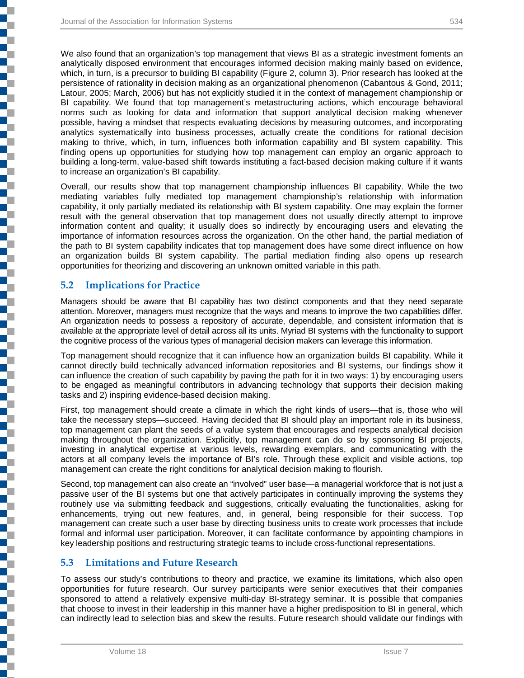We also found that an organization's top management that views BI as a strategic investment foments an analytically disposed environment that encourages informed decision making mainly based on evidence, which, in turn, is a precursor to building BI capability (Figure 2, column 3). Prior research has looked at the persistence of rationality in decision making as an organizational phenomenon (Cabantous & Gond, 2011; Latour, 2005; March, 2006) but has not explicitly studied it in the context of management championship or BI capability. We found that top management's metastructuring actions, which encourage behavioral norms such as looking for data and information that support analytical decision making whenever possible, having a mindset that respects evaluating decisions by measuring outcomes, and incorporating analytics systematically into business processes, actually create the conditions for rational decision making to thrive, which, in turn, influences both information capability and BI system capability. This finding opens up opportunities for studying how top management can employ an organic approach to building a long-term, value-based shift towards instituting a fact-based decision making culture if it wants to increase an organization's BI capability.

Overall, our results show that top management championship influences BI capability. While the two mediating variables fully mediated top management championship's relationship with information capability, it only partially mediated its relationship with BI system capability. One may explain the former result with the general observation that top management does not usually directly attempt to improve information content and quality; it usually does so indirectly by encouraging users and elevating the importance of information resources across the organization. On the other hand, the partial mediation of the path to BI system capability indicates that top management does have some direct influence on how an organization builds BI system capability. The partial mediation finding also opens up research opportunities for theorizing and discovering an unknown omitted variable in this path.

### **5.2 Implications for Practice**

į

Managers should be aware that BI capability has two distinct components and that they need separate attention. Moreover, managers must recognize that the ways and means to improve the two capabilities differ. An organization needs to possess a repository of accurate, dependable, and consistent information that is available at the appropriate level of detail across all its units. Myriad BI systems with the functionality to support the cognitive process of the various types of managerial decision makers can leverage this information.

Top management should recognize that it can influence how an organization builds BI capability. While it cannot directly build technically advanced information repositories and BI systems, our findings show it can influence the creation of such capability by paving the path for it in two ways: 1) by encouraging users to be engaged as meaningful contributors in advancing technology that supports their decision making tasks and 2) inspiring evidence-based decision making.

First, top management should create a climate in which the right kinds of users—that is, those who will take the necessary steps—succeed. Having decided that BI should play an important role in its business, top management can plant the seeds of a value system that encourages and respects analytical decision making throughout the organization. Explicitly, top management can do so by sponsoring BI projects, investing in analytical expertise at various levels, rewarding exemplars, and communicating with the actors at all company levels the importance of BI's role. Through these explicit and visible actions, top management can create the right conditions for analytical decision making to flourish.

Second, top management can also create an "involved" user base—a managerial workforce that is not just a passive user of the BI systems but one that actively participates in continually improving the systems they routinely use via submitting feedback and suggestions, critically evaluating the functionalities, asking for enhancements, trying out new features, and, in general, being responsible for their success. Top management can create such a user base by directing business units to create work processes that include formal and informal user participation. Moreover, it can facilitate conformance by appointing champions in key leadership positions and restructuring strategic teams to include cross-functional representations.

### **5.3 Limitations and Future Research**

To assess our study's contributions to theory and practice, we examine its limitations, which also open opportunities for future research. Our survey participants were senior executives that their companies sponsored to attend a relatively expensive multi-day BI-strategy seminar. It is possible that companies that choose to invest in their leadership in this manner have a higher predisposition to BI in general, which can indirectly lead to selection bias and skew the results. Future research should validate our findings with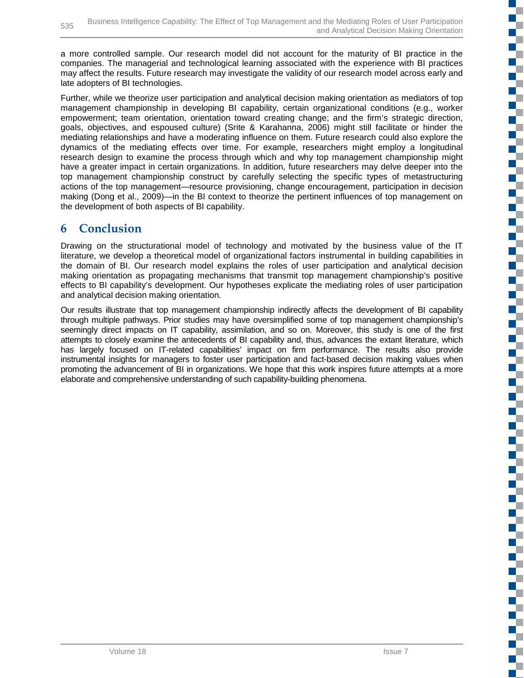a more controlled sample. Our research model did not account for the maturity of BI practice in the companies. The managerial and technological learning associated with the experience with BI practices may affect the results. Future research may investigate the validity of our research model across early and late adopters of BI technologies.

Further, while we theorize user participation and analytical decision making orientation as mediators of top management championship in developing BI capability, certain organizational conditions (e.g., worker empowerment; team orientation, orientation toward creating change; and the firm's strategic direction, goals, objectives, and espoused culture) (Srite & Karahanna, 2006) might still facilitate or hinder the mediating relationships and have a moderating influence on them. Future research could also explore the dynamics of the mediating effects over time. For example, researchers might employ a longitudinal research design to examine the process through which and why top management championship might have a greater impact in certain organizations. In addition, future researchers may delve deeper into the top management championship construct by carefully selecting the specific types of metastructuring actions of the top management—resource provisioning, change encouragement, participation in decision making (Dong et al., 2009)—in the BI context to theorize the pertinent influences of top management on the development of both aspects of BI capability.

### **6 Conclusion**

Drawing on the structurational model of technology and motivated by the business value of the IT literature, we develop a theoretical model of organizational factors instrumental in building capabilities in the domain of BI. Our research model explains the roles of user participation and analytical decision making orientation as propagating mechanisms that transmit top management championship's positive effects to BI capability's development. Our hypotheses explicate the mediating roles of user participation and analytical decision making orientation.

Our results illustrate that top management championship indirectly affects the development of BI capability through multiple pathways. Prior studies may have oversimplified some of top management championship's seemingly direct impacts on IT capability, assimilation, and so on. Moreover, this study is one of the first attempts to closely examine the antecedents of BI capability and, thus, advances the extant literature, which has largely focused on IT-related capabilities' impact on firm performance. The results also provide instrumental insights for managers to foster user participation and fact-based decision making values when promoting the advancement of BI in organizations. We hope that this work inspires future attempts at a more elaborate and comprehensive understanding of such capability-building phenomena.

T

TE

F.

T.

 $\Box$ 

c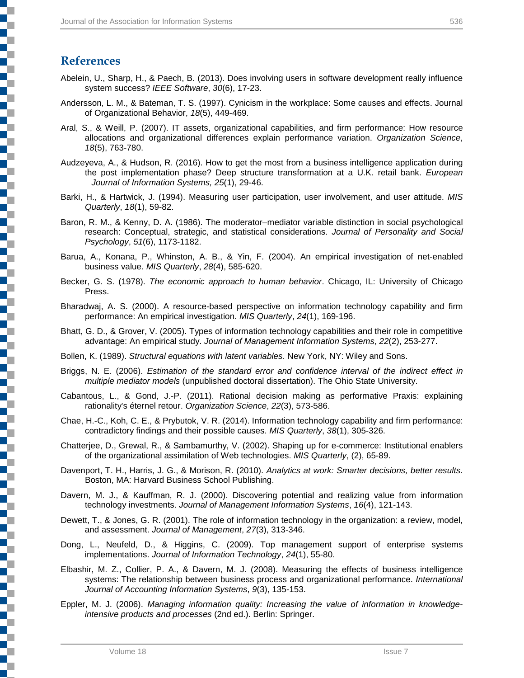### **References**

- Abelein, U., Sharp, H., & Paech, B. (2013). Does involving users in software development really influence system success? *IEEE Software*, *30*(6), 17-23.
- Andersson, L. M., & Bateman, T. S. (1997). Cynicism in the workplace: Some causes and effects. Journal of Organizational Behavior, *18*(5), 449-469.
- Aral, S., & Weill, P. (2007). IT assets, organizational capabilities, and firm performance: How resource allocations and organizational differences explain performance variation. *Organization Science*, *18*(5), 763-780.
- Audzeyeva, A., & Hudson, R. (2016). How to get the most from a business intelligence application during the post implementation phase? Deep structure transformation at a U.K. retail bank. *European Journal of Information Systems, 25*(1), 29-46.
- Barki, H., & Hartwick, J. (1994). Measuring user participation, user involvement, and user attitude. *MIS Quarterly*, *18*(1), 59-82.
- Baron, R. M., & Kenny, D. A. (1986). The moderator–mediator variable distinction in social psychological research: Conceptual, strategic, and statistical considerations. *Journal of Personality and Social Psychology*, *51*(6), 1173-1182.
- Barua, A., Konana, P., Whinston, A. B., & Yin, F. (2004). An empirical investigation of net-enabled business value. *MIS Quarterly*, *28*(4), 585-620.
- Becker, G. S. (1978). *The economic approach to human behavior*. Chicago, IL: University of Chicago Press.
- Bharadwaj, A. S. (2000). A resource-based perspective on information technology capability and firm performance: An empirical investigation. *MIS Quarterly*, *24*(1), 169-196.
- Bhatt, G. D., & Grover, V. (2005). Types of information technology capabilities and their role in competitive advantage: An empirical study. *Journal of Management Information Systems*, *22*(2), 253-277.
- Bollen, K. (1989). *Structural equations with latent variables*. New York, NY: Wiley and Sons.
- Briggs, N. E. (2006). *Estimation of the standard error and confidence interval of the indirect effect in multiple mediator models* (unpublished doctoral dissertation). The Ohio State University.
- Cabantous, L., & Gond, J.-P. (2011). Rational decision making as performative Praxis: explaining rationality's éternel retour. *Organization Science*, *22*(3), 573-586.
- Chae, H.-C., Koh, C. E., & Prybutok, V. R. (2014). Information technology capability and firm performance: contradictory findings and their possible causes. *MIS Quarterly*, *38*(1), 305-326.
- Chatterjee, D., Grewal, R., & Sambamurthy, V. (2002). Shaping up for e-commerce: Institutional enablers of the organizational assimilation of Web technologies. *MIS Quarterly*, (2), 65-89.
- Davenport, T. H., Harris, J. G., & Morison, R. (2010). *Analytics at work: Smarter decisions, better results*. Boston, MA: Harvard Business School Publishing.
- Davern, M. J., & Kauffman, R. J. (2000). Discovering potential and realizing value from information technology investments. *Journal of Management Information Systems*, *16*(4), 121-143.
- Dewett, T., & Jones, G. R. (2001). The role of information technology in the organization: a review, model, and assessment. *Journal of Management*, *27*(3), 313-346.
- Dong, L., Neufeld, D., & Higgins, C. (2009). Top management support of enterprise systems implementations. *Journal of Information Technology*, *24*(1), 55-80.
- Elbashir, M. Z., Collier, P. A., & Davern, M. J. (2008). Measuring the effects of business intelligence systems: The relationship between business process and organizational performance. *International Journal of Accounting Information Systems*, *9*(3), 135-153.
- Eppler, M. J. (2006). *Managing information quality: Increasing the value of information in knowledgeintensive products and processes* (2nd ed.). Berlin: Springer.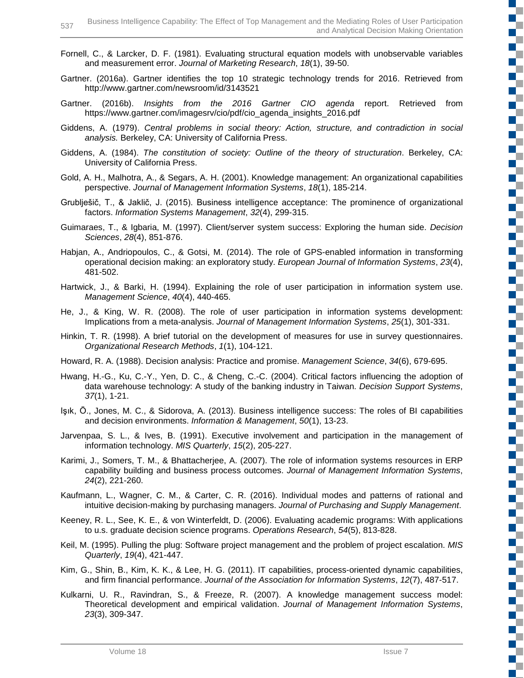- Fornell, C., & Larcker, D. F. (1981). Evaluating structural equation models with unobservable variables and measurement error. *Journal of Marketing Research*, *18*(1), 39-50.
- Gartner. (2016a). Gartner identifies the top 10 strategic technology trends for 2016. Retrieved from http://www.gartner.com/newsroom/id/3143521
- Gartner. (2016b). *Insights from the 2016 Gartner CIO agenda* report. Retrieved from https://www.gartner.com/imagesrv/cio/pdf/cio\_agenda\_insights\_2016.pdf
- Giddens, A. (1979). *Central problems in social theory: Action, structure, and contradiction in social analysis.* Berkeley, CA: University of California Press.
- Giddens, A. (1984). *The constitution of society: Outline of the theory of structuration*. Berkeley, CA: University of California Press.
- Gold, A. H., Malhotra, A., & Segars, A. H. (2001). Knowledge management: An organizational capabilities perspective. *Journal of Management Information Systems*, *18*(1), 185-214.
- Grublješič, T., & Jaklič, J. (2015). Business intelligence acceptance: The prominence of organizational factors. *Information Systems Management*, *32*(4), 299-315.
- Guimaraes, T., & Igbaria, M. (1997). Client/server system success: Exploring the human side. *Decision Sciences*, *28*(4), 851-876.
- Habjan, A., Andriopoulos, C., & Gotsi, M. (2014). The role of GPS-enabled information in transforming operational decision making: an exploratory study. *European Journal of Information Systems*, *23*(4), 481-502.
- Hartwick, J., & Barki, H. (1994). Explaining the role of user participation in information system use. *Management Science*, *40*(4), 440-465.
- He, J., & King, W. R. (2008). The role of user participation in information systems development: Implications from a meta-analysis. *Journal of Management Information Systems*, *25*(1), 301-331.
- Hinkin, T. R. (1998). A brief tutorial on the development of measures for use in survey questionnaires. *Organizational Research Methods*, *1*(1), 104-121.
- Howard, R. A. (1988). Decision analysis: Practice and promise. *Management Science*, *34*(6), 679-695.
- Hwang, H.-G., Ku, C.-Y., Yen, D. C., & Cheng, C.-C. (2004). Critical factors influencing the adoption of data warehouse technology: A study of the banking industry in Taiwan. *Decision Support Systems*, *37*(1), 1-21.
- Işık, Ö., Jones, M. C., & Sidorova, A. (2013). Business intelligence success: The roles of BI capabilities and decision environments. *Information & Management*, *50*(1), 13-23.
- Jarvenpaa, S. L., & Ives, B. (1991). Executive involvement and participation in the management of information technology. *MIS Quarterly*, *15*(2), 205-227.
- Karimi, J., Somers, T. M., & Bhattacherjee, A. (2007). The role of information systems resources in ERP capability building and business process outcomes. *Journal of Management Information Systems*, *24*(2), 221-260.
- Kaufmann, L., Wagner, C. M., & Carter, C. R. (2016). Individual modes and patterns of rational and intuitive decision-making by purchasing managers. *Journal of Purchasing and Supply Management*.
- Keeney, R. L., See, K. E., & von Winterfeldt, D. (2006). Evaluating academic programs: With applications to u.s. graduate decision science programs. *Operations Research*, *54*(5), 813-828.
- Keil, M. (1995). Pulling the plug: Software project management and the problem of project escalation. *MIS Quarterly*, *19*(4), 421-447.
- Kim, G., Shin, B., Kim, K. K., & Lee, H. G. (2011). IT capabilities, process-oriented dynamic capabilities, and firm financial performance. *Journal of the Association for Information Systems*, *12*(7), 487-517.
- Kulkarni, U. R., Ravindran, S., & Freeze, R. (2007). A knowledge management success model: Theoretical development and empirical validation. *Journal of Management Information Systems*, *23*(3), 309-347.

Œ

T. C

 $\mathbb{R}^n$ 

ю

Œ

n.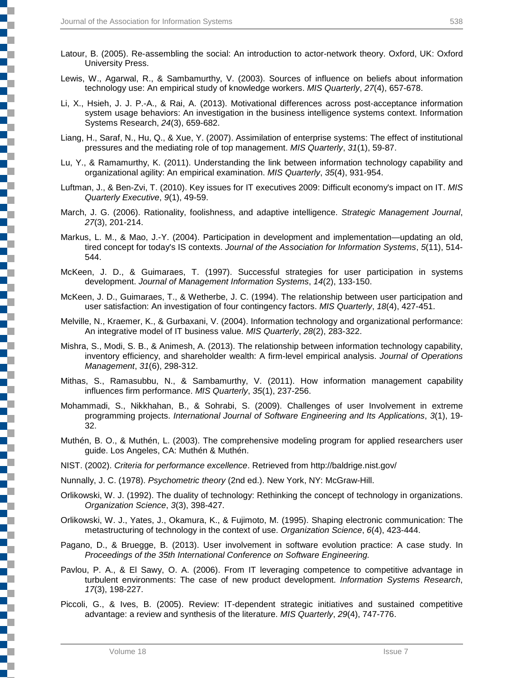- Latour, B. (2005). Re-assembling the social: An introduction to actor-network theory. Oxford, UK: Oxford University Press.
- Lewis, W., Agarwal, R., & Sambamurthy, V. (2003). Sources of influence on beliefs about information technology use: An empirical study of knowledge workers. *MIS Quarterly*, *27*(4), 657-678.
- Li, X., Hsieh, J. J. P.-A., & Rai, A. (2013). Motivational differences across post-acceptance information system usage behaviors: An investigation in the business intelligence systems context. Information Systems Research, *24*(3), 659-682.
- Liang, H., Saraf, N., Hu, Q., & Xue, Y. (2007). Assimilation of enterprise systems: The effect of institutional pressures and the mediating role of top management. *MIS Quarterly*, *31*(1), 59-87.
- Lu, Y., & Ramamurthy, K. (2011). Understanding the link between information technology capability and organizational agility: An empirical examination. *MIS Quarterly*, *35*(4), 931-954.
- Luftman, J., & Ben-Zvi, T. (2010). Key issues for IT executives 2009: Difficult economy's impact on IT. *MIS Quarterly Executive*, *9*(1), 49-59.
- March, J. G. (2006). Rationality, foolishness, and adaptive intelligence. *Strategic Management Journal*, *27*(3), 201-214.
- Markus, L. M., & Mao, J.-Y. (2004). Participation in development and implementation—updating an old, tired concept for today's IS contexts. *Journal of the Association for Information Systems*, *5*(11), 514- 544.
- McKeen, J. D., & Guimaraes, T. (1997). Successful strategies for user participation in systems development. *Journal of Management Information Systems*, *14*(2), 133-150.
- McKeen, J. D., Guimaraes, T., & Wetherbe, J. C. (1994). The relationship between user participation and user satisfaction: An investigation of four contingency factors. *MIS Quarterly*, *18*(4), 427-451.
- Melville, N., Kraemer, K., & Gurbaxani, V. (2004). Information technology and organizational performance: An integrative model of IT business value. *MIS Quarterly*, *28*(2), 283-322.
- Mishra, S., Modi, S. B., & Animesh, A. (2013). The relationship between information technology capability, inventory efficiency, and shareholder wealth: A firm-level empirical analysis. *Journal of Operations Management*, *31*(6), 298-312.
- Mithas, S., Ramasubbu, N., & Sambamurthy, V. (2011). How information management capability influences firm performance. *MIS Quarterly*, *35*(1), 237-256.
- Mohammadi, S., Nikkhahan, B., & Sohrabi, S. (2009). Challenges of user Involvement in extreme programming projects. *International Journal of Software Engineering and Its Applications*, *3*(1), 19- 32.
- Muthén, B. O., & Muthén, L. (2003). The comprehensive modeling program for applied researchers user guide. Los Angeles, CA: Muthén & Muthén.
- NIST. (2002). *Criteria for performance excellence*. Retrieved from http://baldrige.nist.gov/

Nunnally, J. C. (1978). *Psychometric theory* (2nd ed.). New York, NY: McGraw-Hill.

- Orlikowski, W. J. (1992). The duality of technology: Rethinking the concept of technology in organizations. *Organization Science*, *3*(3), 398-427.
- Orlikowski, W. J., Yates, J., Okamura, K., & Fujimoto, M. (1995). Shaping electronic communication: The metastructuring of technology in the context of use. *Organization Science*, *6*(4), 423-444.
- Pagano, D., & Bruegge, B. (2013). User involvement in software evolution practice: A case study. In *Proceedings of the 35th International Conference on Software Engineering.*
- Pavlou, P. A., & El Sawy, O. A. (2006). From IT leveraging competence to competitive advantage in turbulent environments: The case of new product development. *Information Systems Research*, *17*(3), 198-227.
- Piccoli, G., & Ives, B. (2005). Review: IT-dependent strategic initiatives and sustained competitive advantage: a review and synthesis of the literature. *MIS Quarterly*, *29*(4), 747-776.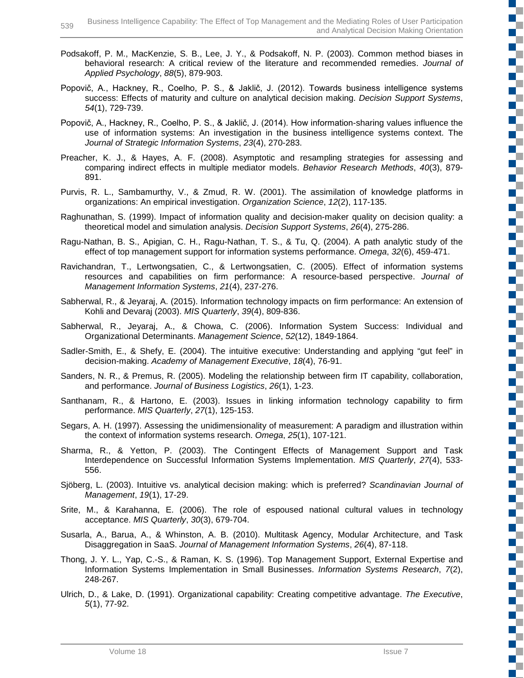- Podsakoff, P. M., MacKenzie, S. B., Lee, J. Y., & Podsakoff, N. P. (2003). Common method biases in behavioral research: A critical review of the literature and recommended remedies. *Journal of Applied Psychology*, *88*(5), 879-903.
- Popovič, A., Hackney, R., Coelho, P. S., & Jaklič, J. (2012). Towards business intelligence systems success: Effects of maturity and culture on analytical decision making. *Decision Support Systems*, *54*(1), 729-739.
- Popovič, A., Hackney, R., Coelho, P. S., & Jaklič, J. (2014). How information-sharing values influence the use of information systems: An investigation in the business intelligence systems context. The *Journal of Strategic Information Systems*, *23*(4), 270-283.
- Preacher, K. J., & Hayes, A. F. (2008). Asymptotic and resampling strategies for assessing and comparing indirect effects in multiple mediator models. *Behavior Research Methods*, *40*(3), 879- 891.
- Purvis, R. L., Sambamurthy, V., & Zmud, R. W. (2001). The assimilation of knowledge platforms in organizations: An empirical investigation. *Organization Science*, *12*(2), 117-135.
- Raghunathan, S. (1999). Impact of information quality and decision-maker quality on decision quality: a theoretical model and simulation analysis. *Decision Support Systems*, *26*(4), 275-286.
- Ragu-Nathan, B. S., Apigian, C. H., Ragu-Nathan, T. S., & Tu, Q. (2004). A path analytic study of the effect of top management support for information systems performance. *Omega*, *32*(6), 459-471.
- Ravichandran, T., Lertwongsatien, C., & Lertwongsatien, C. (2005). Effect of information systems resources and capabilities on firm performance: A resource-based perspective. *Journal of Management Information Systems*, *21*(4), 237-276.
- Sabherwal, R., & Jeyaraj, A. (2015). Information technology impacts on firm performance: An extension of Kohli and Devaraj (2003). *MIS Quarterly*, *39*(4), 809-836.
- Sabherwal, R., Jeyaraj, A., & Chowa, C. (2006). Information System Success: Individual and Organizational Determinants. *Management Science*, *52*(12), 1849-1864.
- Sadler-Smith, E., & Shefy, E. (2004). The intuitive executive: Understanding and applying "gut feel" in decision-making. *Academy of Management Executive*, *18*(4), 76-91.
- Sanders, N. R., & Premus, R. (2005). Modeling the relationship between firm IT capability, collaboration, and performance. *Journal of Business Logistics*, *26*(1), 1-23.
- Santhanam, R., & Hartono, E. (2003). Issues in linking information technology capability to firm performance. *MIS Quarterly*, *27*(1), 125-153.
- Segars, A. H. (1997). Assessing the unidimensionality of measurement: A paradigm and illustration within the context of information systems research. *Omega*, *25*(1), 107-121.
- Sharma, R., & Yetton, P. (2003). The Contingent Effects of Management Support and Task Interdependence on Successful Information Systems Implementation. *MIS Quarterly*, *27*(4), 533- 556.
- Sjöberg, L. (2003). Intuitive vs. analytical decision making: which is preferred? *Scandinavian Journal of Management*, *19*(1), 17-29.
- Srite, M., & Karahanna, E. (2006). The role of espoused national cultural values in technology acceptance. *MIS Quarterly*, *30*(3), 679-704.
- Susarla, A., Barua, A., & Whinston, A. B. (2010). Multitask Agency, Modular Architecture, and Task Disaggregation in SaaS. *Journal of Management Information Systems*, *26*(4), 87-118.
- Thong, J. Y. L., Yap, C.-S., & Raman, K. S. (1996). Top Management Support, External Expertise and Information Systems Implementation in Small Businesses. *Information Systems Research*, *7*(2), 248-267.
- Ulrich, D., & Lake, D. (1991). Organizational capability: Creating competitive advantage. *The Executive*, *5*(1), 77-92.

T.

E.

 $\blacksquare$ **E** 

T

D.

c

Г

Ŧ.

 $\mathbb{Z}^{\mathbb{Z}}$ 

E. C **The Co**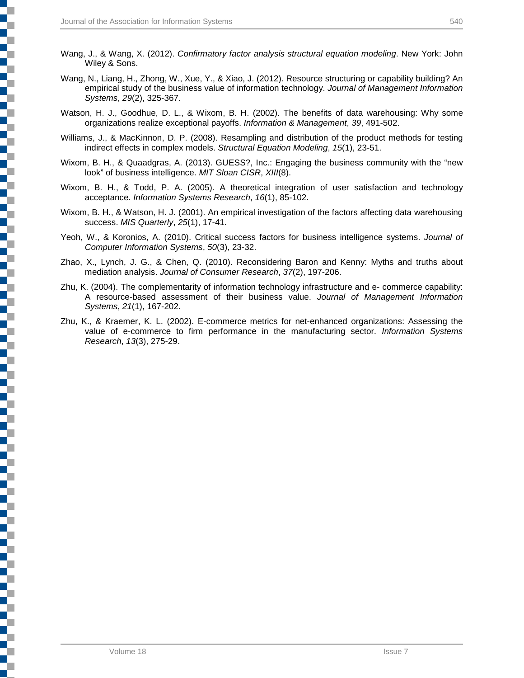- Wang, J., & Wang, X. (2012). *Confirmatory factor analysis structural equation modeling*. New York: John Wiley & Sons.
- Wang, N., Liang, H., Zhong, W., Xue, Y., & Xiao, J. (2012). Resource structuring or capability building? An empirical study of the business value of information technology. *Journal of Management Information Systems*, *29*(2), 325-367.
- Watson, H. J., Goodhue, D. L., & Wixom, B. H. (2002). The benefits of data warehousing: Why some organizations realize exceptional payoffs. *Information & Management*, *39*, 491-502.
- Williams, J., & MacKinnon, D. P. (2008). Resampling and distribution of the product methods for testing indirect effects in complex models. *Structural Equation Modeling*, *15*(1), 23-51.
- Wixom, B. H., & Quaadgras, A. (2013). GUESS?, Inc.: Engaging the business community with the "new look" of business intelligence. *MIT Sloan CISR*, *XIII*(8).
- Wixom, B. H., & Todd, P. A. (2005). A theoretical integration of user satisfaction and technology acceptance. *Information Systems Research*, *16*(1), 85-102.
- Wixom, B. H., & Watson, H. J. (2001). An empirical investigation of the factors affecting data warehousing success. *MIS Quarterly*, *25*(1), 17-41.
- Yeoh, W., & Koronios, A. (2010). Critical success factors for business intelligence systems. *Journal of Computer Information Systems*, *50*(3), 23-32.
- Zhao, X., Lynch, J. G., & Chen, Q. (2010). Reconsidering Baron and Kenny: Myths and truths about mediation analysis. *Journal of Consumer Research*, *37*(2), 197-206.
- Zhu, K. (2004). The complementarity of information technology infrastructure and e- commerce capability: A resource-based assessment of their business value. *Journal of Management Information Systems*, *21*(1), 167-202.
- Zhu, K., & Kraemer, K. L. (2002). E-commerce metrics for net-enhanced organizations: Assessing the value of e-commerce to firm performance in the manufacturing sector. *Information Systems Research*, *13*(3), 275-29.